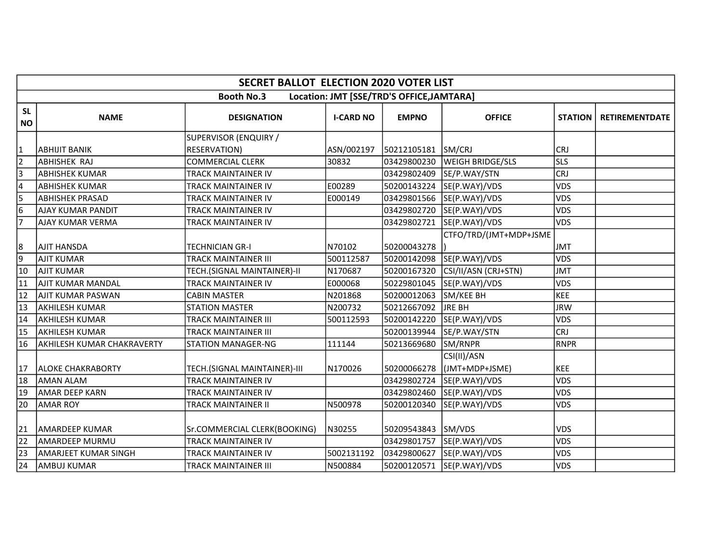|                        | <b>SECRET BALLOT ELECTION 2020 VOTER LIST</b> |                                              |                  |                                           |                               |                |                       |  |  |  |
|------------------------|-----------------------------------------------|----------------------------------------------|------------------|-------------------------------------------|-------------------------------|----------------|-----------------------|--|--|--|
|                        |                                               | <b>Booth No.3</b>                            |                  | Location: JMT [SSE/TRD'S OFFICE, JAMTARA] |                               |                |                       |  |  |  |
| <b>SL</b><br><b>NO</b> | <b>NAME</b>                                   | <b>DESIGNATION</b>                           | <b>I-CARD NO</b> | <b>EMPNO</b>                              | <b>OFFICE</b>                 | <b>STATION</b> | <b>RETIREMENTDATE</b> |  |  |  |
| $\vert$ 1              | ABHIJIT BANIK                                 | SUPERVISOR (ENQUIRY /<br><b>RESERVATION)</b> | ASN/002197       | 50212105181                               | SM/CRJ                        | <b>CRJ</b>     |                       |  |  |  |
| $\overline{2}$         | <b>ABHISHEK RAJ</b>                           | <b>COMMERCIAL CLERK</b>                      | 30832            | 03429800230                               | <b>WEIGH BRIDGE/SLS</b>       | <b>SLS</b>     |                       |  |  |  |
| $\overline{3}$         | <b>ABHISHEK KUMAR</b>                         | <b>TRACK MAINTAINER IV</b>                   |                  | 03429802409                               | SE/P.WAY/STN                  | <b>CRJ</b>     |                       |  |  |  |
| 4                      | <b>ABHISHEK KUMAR</b>                         | TRACK MAINTAINER IV                          | E00289           | 50200143224                               | SE(P.WAY)/VDS                 | <b>VDS</b>     |                       |  |  |  |
| $\overline{5}$         | <b>ABHISHEK PRASAD</b>                        | <b>TRACK MAINTAINER IV</b>                   | E000149          | 03429801566                               | SE(P.WAY)/VDS                 | <b>VDS</b>     |                       |  |  |  |
| $\overline{6}$         | AJAY KUMAR PANDIT                             | <b>TRACK MAINTAINER IV</b>                   |                  | 03429802720                               | SE(P.WAY)/VDS                 | <b>VDS</b>     |                       |  |  |  |
| 7                      | <b>AJAY KUMAR VERMA</b>                       | TRACK MAINTAINER IV                          |                  | 03429802721                               | SE(P.WAY)/VDS                 | VDS            |                       |  |  |  |
|                        |                                               |                                              |                  |                                           | CTFO/TRD/(JMT+MDP+JSME        |                |                       |  |  |  |
| 8                      | AJIT HANSDA                                   | <b>TECHNICIAN GR-I</b>                       | N70102           | 50200043278                               |                               | <b>JMT</b>     |                       |  |  |  |
| $\overline{9}$         | AJIT KUMAR                                    | <b>TRACK MAINTAINER III</b>                  | 500112587        |                                           | 50200142098 SE(P.WAY)/VDS     | <b>VDS</b>     |                       |  |  |  |
| 10                     | <b>AJIT KUMAR</b>                             | TECH.(SIGNAL MAINTAINER)-II                  | N170687          | 50200167320                               | CSI/II/ASN (CRJ+STN)          | <b>JMT</b>     |                       |  |  |  |
| 11                     | AJIT KUMAR MANDAL                             | <b>TRACK MAINTAINER IV</b>                   | E000068          | 50229801045                               | SE(P.WAY)/VDS                 | <b>VDS</b>     |                       |  |  |  |
| 12                     | AJIT KUMAR PASWAN                             | <b>CABIN MASTER</b>                          | N201868          | 50200012063                               | SM/KEE BH                     | <b>KEE</b>     |                       |  |  |  |
| $\overline{13}$        | AKHILESH KUMAR                                | <b>STATION MASTER</b>                        | N200732          | 50212667092                               | <b>JRE BH</b>                 | <b>JRW</b>     |                       |  |  |  |
| 14                     | AKHILESH KUMAR                                | TRACK MAINTAINER III                         | 500112593        | 50200142220                               | SE(P.WAY)/VDS                 | <b>VDS</b>     |                       |  |  |  |
| $\overline{15}$        | <b>AKHILESH KUMAR</b>                         | <b>TRACK MAINTAINER III</b>                  |                  | 50200139944                               | SE/P.WAY/STN                  | <b>CRJ</b>     |                       |  |  |  |
| 16                     | <b>AKHILESH KUMAR CHAKRAVERTY</b>             | <b>STATION MANAGER-NG</b>                    | 111144           | 50213669680                               | SM/RNPR                       | <b>RNPR</b>    |                       |  |  |  |
| 17                     | <b>JALOKE CHAKRABORTY</b>                     | TECH.(SIGNAL MAINTAINER)-III                 | N170026          | 50200066278                               | CSI(II)/ASN<br>(JMT+MDP+JSME) | <b>KEE</b>     |                       |  |  |  |
| 18                     | <b>AMAN ALAM</b>                              | <b>TRACK MAINTAINER IV</b>                   |                  | 03429802724                               | SE(P.WAY)/VDS                 | <b>VDS</b>     |                       |  |  |  |
| 19                     | <b>AMAR DEEP KARN</b>                         | <b>TRACK MAINTAINER IV</b>                   |                  | 03429802460                               | SE(P.WAY)/VDS                 | <b>VDS</b>     |                       |  |  |  |
| 20                     | <b>AMAR ROY</b>                               | TRACK MAINTAINER II                          | N500978          | 50200120340                               | SE(P.WAY)/VDS                 | VDS            |                       |  |  |  |
| 21                     | <b>JAMARDEEP KUMAR</b>                        | Sr.COMMERCIAL CLERK(BOOKING)                 | N30255           | 50209543843                               | SM/VDS                        | <b>VDS</b>     |                       |  |  |  |
| $\overline{22}$        | lamardeep MURMU                               | <b>TRACK MAINTAINER IV</b>                   |                  | 03429801757                               | SE(P.WAY)/VDS                 | VDS            |                       |  |  |  |
| $\overline{23}$        | AMARJEET KUMAR SINGH                          | TRACK MAINTAINER IV                          | 5002131192       | 03429800627                               | SE(P.WAY)/VDS                 | <b>VDS</b>     |                       |  |  |  |
| $\overline{24}$        | AMBUJ KUMAR                                   | <b>TRACK MAINTAINER III</b>                  | N500884          | 50200120571                               | SE(P.WAY)/VDS                 | <b>VDS</b>     |                       |  |  |  |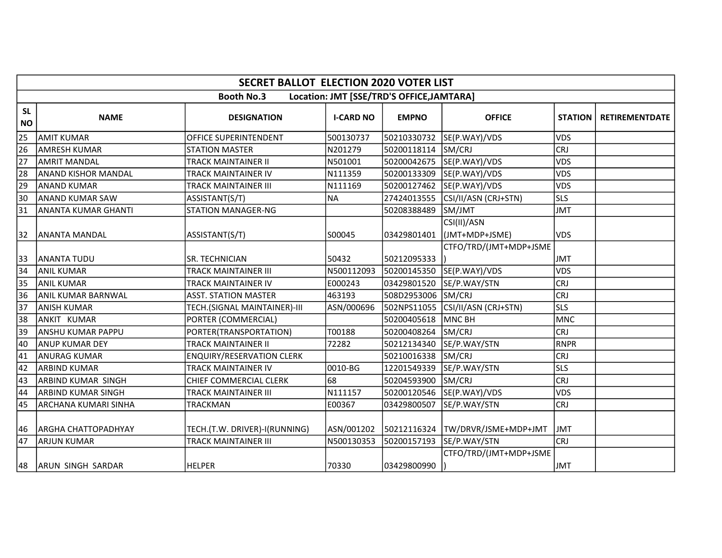|                        | <b>SECRET BALLOT ELECTION 2020 VOTER LIST</b> |                                  |                  |                                           |                               |                |                       |  |  |  |
|------------------------|-----------------------------------------------|----------------------------------|------------------|-------------------------------------------|-------------------------------|----------------|-----------------------|--|--|--|
|                        |                                               | <b>Booth No.3</b>                |                  | Location: JMT [SSE/TRD'S OFFICE, JAMTARA] |                               |                |                       |  |  |  |
| <b>SL</b><br><b>NO</b> | <b>NAME</b>                                   | <b>DESIGNATION</b>               | <b>I-CARD NO</b> | <b>EMPNO</b>                              | <b>OFFICE</b>                 | <b>STATION</b> | <b>RETIREMENTDATE</b> |  |  |  |
| 25                     | <b>AMIT KUMAR</b>                             | OFFICE SUPERINTENDENT            | 500130737        | 50210330732                               | SE(P.WAY)/VDS                 | <b>VDS</b>     |                       |  |  |  |
| 26                     | <b>AMRESH KUMAR</b>                           | <b>STATION MASTER</b>            | N201279          | 50200118114                               | SM/CRJ                        | <b>CRJ</b>     |                       |  |  |  |
| 27                     | <b>AMRIT MANDAL</b>                           | TRACK MAINTAINER II              | N501001          | 50200042675                               | SE(P.WAY)/VDS                 | <b>VDS</b>     |                       |  |  |  |
| 28                     | <b>ANAND KISHOR MANDAL</b>                    | <b>TRACK MAINTAINER IV</b>       | N111359          | 50200133309                               | SE(P.WAY)/VDS                 | VDS            |                       |  |  |  |
| 29                     | <b>ANAND KUMAR</b>                            | TRACK MAINTAINER III             | N111169          | 50200127462                               | SE(P.WAY)/VDS                 | <b>VDS</b>     |                       |  |  |  |
| 30                     | <b>ANAND KUMAR SAW</b>                        | ASSISTANT(S/T)                   | <b>NA</b>        | 27424013555                               | CSI/II/ASN (CRJ+STN)          | <b>SLS</b>     |                       |  |  |  |
| 31                     | <b>ANANTA KUMAR GHANTI</b>                    | <b>STATION MANAGER-NG</b>        |                  | 50208388489                               | SM/JMT                        | <b>JMT</b>     |                       |  |  |  |
| 32                     | lananta mandal                                | ASSISTANT(S/T)                   | S00045           | 03429801401                               | CSI(II)/ASN<br>(JMT+MDP+JSME) | <b>VDS</b>     |                       |  |  |  |
| 33                     | <b>ANANTA TUDU</b>                            | <b>SR. TECHNICIAN</b>            | 50432            | 50212095333                               | CTFO/TRD/(JMT+MDP+JSME        | <b>JMT</b>     |                       |  |  |  |
| 34                     | <b>ANIL KUMAR</b>                             | TRACK MAINTAINER III             | N500112093       | 50200145350                               | SE(P.WAY)/VDS                 | <b>VDS</b>     |                       |  |  |  |
| 35                     | <b>ANIL KUMAR</b>                             | TRACK MAINTAINER IV              | E000243          | 03429801520                               | SE/P.WAY/STN                  | <b>CRJ</b>     |                       |  |  |  |
| 36                     | ANIL KUMAR BARNWAL                            | <b>ASST. STATION MASTER</b>      | 463193           | 508D2953006 SM/CRJ                        |                               | <b>CRJ</b>     |                       |  |  |  |
| 37                     | <b>ANISH KUMAR</b>                            | TECH.(SIGNAL MAINTAINER)-III     | ASN/000696       | 502NPS11055                               | CSI/II/ASN (CRJ+STN)          | <b>SLS</b>     |                       |  |  |  |
| 38                     | ANKIT KUMAR                                   | PORTER (COMMERCIAL)              |                  | 50200405618                               | <b>MNC BH</b>                 | <b>MNC</b>     |                       |  |  |  |
| 39                     | <b>ANSHU KUMAR PAPPU</b>                      | PORTER(TRANSPORTATION)           | T00188           | 50200408264                               | SM/CRJ                        | <b>CRJ</b>     |                       |  |  |  |
| 40                     | <b>ANUP KUMAR DEY</b>                         | <b>TRACK MAINTAINER II</b>       | 72282            | 50212134340                               | SE/P.WAY/STN                  | <b>RNPR</b>    |                       |  |  |  |
| 41                     | <b>ANURAG KUMAR</b>                           | <b>ENQUIRY/RESERVATION CLERK</b> |                  | 50210016338                               | SM/CRJ                        | <b>CRJ</b>     |                       |  |  |  |
| 42                     | <b>ARBIND KUMAR</b>                           | <b>TRACK MAINTAINER IV</b>       | 0010-BG          | 12201549339                               | SE/P.WAY/STN                  | <b>SLS</b>     |                       |  |  |  |
| 43                     | <b>ARBIND KUMAR SINGH</b>                     | CHIEF COMMERCIAL CLERK           | 68               | 50204593900                               | SM/CRJ                        | <b>CRJ</b>     |                       |  |  |  |
| 44                     | <b>ARBIND KUMAR SINGH</b>                     | TRACK MAINTAINER III             | N111157          | 50200120546                               | SE(P.WAY)/VDS                 | <b>VDS</b>     |                       |  |  |  |
| 45                     | <b>ARCHANA KUMARI SINHA</b>                   | TRACKMAN                         | E00367           | 03429800507                               | SE/P.WAY/STN                  | <b>CRJ</b>     |                       |  |  |  |
| 46                     | ARGHA CHATTOPADHYAY                           | TECH.(T.W. DRIVER)-I(RUNNING)    | ASN/001202       | 50212116324                               | TW/DRVR/JSME+MDP+JMT          | <b>JMT</b>     |                       |  |  |  |
| 47                     | <b>ARJUN KUMAR</b>                            | <b>TRACK MAINTAINER III</b>      | N500130353       | 50200157193                               | SE/P.WAY/STN                  | <b>CRJ</b>     |                       |  |  |  |
| 48                     | <b>ARUN SINGH SARDAR</b>                      | <b>HELPER</b>                    | 70330            | 03429800990                               | CTFO/TRD/(JMT+MDP+JSME        | JMT            |                       |  |  |  |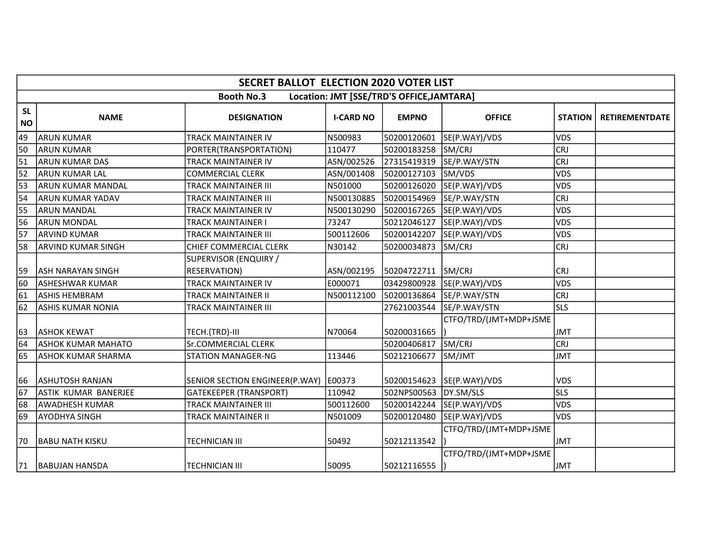|                        | <b>SECRET BALLOT ELECTION 2020 VOTER LIST</b> |                                       |                  |                                           |                            |                |                       |  |  |  |
|------------------------|-----------------------------------------------|---------------------------------------|------------------|-------------------------------------------|----------------------------|----------------|-----------------------|--|--|--|
|                        |                                               | <b>Booth No.3</b>                     |                  | Location: JMT [SSE/TRD'S OFFICE, JAMTARA] |                            |                |                       |  |  |  |
| <b>SL</b><br><b>NO</b> | <b>NAME</b>                                   | <b>DESIGNATION</b>                    | <b>I-CARD NO</b> | <b>EMPNO</b>                              | <b>OFFICE</b>              | <b>STATION</b> | <b>RETIREMENTDATE</b> |  |  |  |
| 49                     | larun kumar                                   | TRACK MAINTAINER IV                   | N500983          | 50200120601                               | SE(P.WAY)/VDS              | <b>VDS</b>     |                       |  |  |  |
| 50                     | larun kumar                                   | PORTER(TRANSPORTATION)                | 110477           | 50200183258                               | SM/CRJ                     | <b>CRJ</b>     |                       |  |  |  |
| $\overline{51}$        | ARUN KUMAR DAS                                | TRACK MAINTAINER IV                   | ASN/002526       | 27315419319                               | SE/P.WAY/STN               | <b>CRJ</b>     |                       |  |  |  |
| $\overline{52}$        | ARUN KUMAR LAL                                | <b>COMMERCIAL CLERK</b>               | ASN/001408       | 50200127103                               | SM/VDS                     | VDS            |                       |  |  |  |
| $\overline{53}$        | ARUN KUMAR MANDAL                             | TRACK MAINTAINER III                  | N501000          | 50200126020                               | SE(P.WAY)/VDS              | <b>VDS</b>     |                       |  |  |  |
| $\overline{54}$        | <b>ARUN KUMAR YADAV</b>                       | <b>TRACK MAINTAINER III</b>           | N500130885       | 50200154969                               | SE/P.WAY/STN               | <b>CRJ</b>     |                       |  |  |  |
| 55                     | <b>ARUN MANDAL</b>                            | TRACK MAINTAINER IV                   | N500130290       | 50200167265                               | SE(P.WAY)/VDS              | <b>VDS</b>     |                       |  |  |  |
| $\overline{56}$        | ARUN MONDAL                                   | <b>TRACK MAINTAINER I</b>             | 73247            | 50212046127                               | SE(P.WAY)/VDS              | VDS            |                       |  |  |  |
| $\overline{57}$        | ARVIND KUMAR                                  | <b>TRACK MAINTAINER III</b>           | 500112606        | 50200142207                               | SE(P.WAY)/VDS              | <b>VDS</b>     |                       |  |  |  |
| 58                     | IARVIND KUMAR SINGH                           | <b>CHIEF COMMERCIAL CLERK</b>         | N30142           | 50200034873                               | SM/CRJ                     | <b>CRJ</b>     |                       |  |  |  |
| 59                     | <b>JASH NARAYAN SINGH</b>                     | SUPERVISOR (ENQUIRY /<br>RESERVATION) | ASN/002195       | 50204722711 SM/CRJ                        |                            | <b>CRJ</b>     |                       |  |  |  |
| $\overline{60}$        | ASHESHWAR KUMAR                               | <b>TRACK MAINTAINER IV</b>            | E000071          | 03429800928                               | SE(P.WAY)/VDS              | VDS            |                       |  |  |  |
| $\overline{61}$        | lashis HEMBRAM                                | <b>TRACK MAINTAINER II</b>            | N500112100       | 50200136864                               | SE/P.WAY/STN               | <b>CRJ</b>     |                       |  |  |  |
| $\overline{62}$        | ASHIS KUMAR NONIA                             | <b>TRACK MAINTAINER III</b>           |                  | 27621003544                               | SE/P.WAY/STN               | <b>SLS</b>     |                       |  |  |  |
| 63                     | <b>ASHOK KEWAT</b>                            | TECH.(TRD)-III                        | N70064           | 50200031665                               | CTFO/TRD/(JMT+MDP+JSME     | <b>JMT</b>     |                       |  |  |  |
| $\overline{64}$        | <b>ASHOK KUMAR MAHATO</b>                     | Sr.COMMERCIAL CLERK                   |                  | 50200406817                               | SM/CRJ                     | <b>CRJ</b>     |                       |  |  |  |
| 65                     | ASHOK KUMAR SHARMA                            | <b>STATION MANAGER-NG</b>             | 113446           | 50212106677                               | SM/JMT                     | <b>JMT</b>     |                       |  |  |  |
| 66                     | <b>JASHUTOSH RANJAN</b>                       | SENIOR SECTION ENGINEER(P.WAY)        | E00373           |                                           | 50200154623  SE(P.WAY)/VDS | <b>VDS</b>     |                       |  |  |  |
| $\overline{67}$        | ASTIK KUMAR BANERJEE                          | <b>GATEKEEPER (TRANSPORT)</b>         | 110942           | 502NPS00563                               | DY.SM/SLS                  | <b>SLS</b>     |                       |  |  |  |
| 68                     | <b>AWADHESH KUMAR</b>                         | <b>TRACK MAINTAINER III</b>           | 500112600        | 50200142244                               | SE(P.WAY)/VDS              | <b>VDS</b>     |                       |  |  |  |
| 69                     | <b>AYODHYA SINGH</b>                          | <b>TRACK MAINTAINER II</b>            | N501009          | 50200120480                               | SE(P.WAY)/VDS              | VDS            |                       |  |  |  |
| 70                     | <b>BABU NATH KISKU</b>                        | <b>TECHNICIAN III</b>                 | 50492            | 50212113542                               | CTFO/TRD/(JMT+MDP+JSME     | <b>JMT</b>     |                       |  |  |  |
| 71                     | BABUJAN HANSDA                                | <b>TECHNICIAN III</b>                 | 50095            | 50212116555                               | CTFO/TRD/(JMT+MDP+JSME     | JMT            |                       |  |  |  |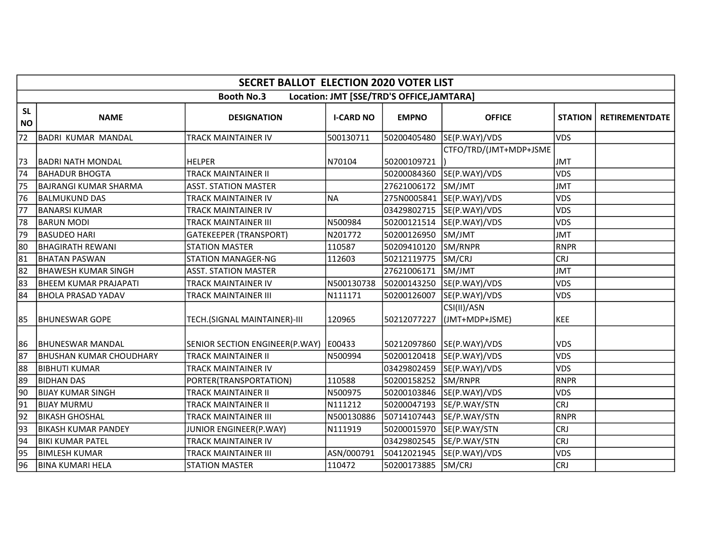|                        | <b>SECRET BALLOT ELECTION 2020 VOTER LIST</b>                  |                                         |                  |              |                               |                |                       |  |  |  |
|------------------------|----------------------------------------------------------------|-----------------------------------------|------------------|--------------|-------------------------------|----------------|-----------------------|--|--|--|
|                        | Location: JMT [SSE/TRD'S OFFICE, JAMTARA]<br><b>Booth No.3</b> |                                         |                  |              |                               |                |                       |  |  |  |
| <b>SL</b><br><b>NO</b> | <b>NAME</b>                                                    | <b>DESIGNATION</b>                      | <b>I-CARD NO</b> | <b>EMPNO</b> | <b>OFFICE</b>                 | <b>STATION</b> | <b>RETIREMENTDATE</b> |  |  |  |
| 72                     | BADRI KUMAR MANDAL                                             | TRACK MAINTAINER IV                     | 500130711        | 50200405480  | SE(P.WAY)/VDS                 | <b>VDS</b>     |                       |  |  |  |
|                        |                                                                |                                         |                  |              | CTFO/TRD/(JMT+MDP+JSME        |                |                       |  |  |  |
| 73                     | <b>BADRI NATH MONDAL</b>                                       | <b>HELPER</b>                           | N70104           | 50200109721  |                               | <b>JMT</b>     |                       |  |  |  |
| $\overline{74}$        | <b>BAHADUR BHOGTA</b>                                          | <b>TRACK MAINTAINER II</b>              |                  | 50200084360  | SE(P.WAY)/VDS                 | <b>VDS</b>     |                       |  |  |  |
| 75                     | BAJRANGI KUMAR SHARMA                                          | <b>ASST. STATION MASTER</b>             |                  | 27621006172  | SM/JMT                        | <b>JMT</b>     |                       |  |  |  |
| $\overline{76}$        | <b>BALMUKUND DAS</b>                                           | <b>TRACK MAINTAINER IV</b>              | <b>NA</b>        |              | 275N0005841 SE(P.WAY)/VDS     | VDS            |                       |  |  |  |
| 77                     | <b>BANARSI KUMAR</b>                                           | TRACK MAINTAINER IV                     |                  | 03429802715  | SE(P.WAY)/VDS                 | <b>VDS</b>     |                       |  |  |  |
| 78                     | <b>BARUN MODI</b>                                              | TRACK MAINTAINER III                    | N500984          | 50200121514  | SE(P.WAY)/VDS                 | VDS            |                       |  |  |  |
| 79                     | BASUDEO HARI                                                   | <b>GATEKEEPER (TRANSPORT)</b>           | N201772          | 50200126950  | SM/JMT                        | <b>JMT</b>     |                       |  |  |  |
| 80                     | BHAGIRATH REWANI                                               | <b>STATION MASTER</b>                   | 110587           | 50209410120  | SM/RNPR                       | <b>RNPR</b>    |                       |  |  |  |
| $\overline{81}$        | <b>BHATAN PASWAN</b>                                           | <b>STATION MANAGER-NG</b>               | 112603           | 50212119775  | SM/CRJ                        | <b>CRJ</b>     |                       |  |  |  |
| $\overline{82}$        | BHAWESH KUMAR SINGH                                            | <b>ASST. STATION MASTER</b>             |                  | 27621006171  | SM/JMT                        | <b>JMT</b>     |                       |  |  |  |
| 83                     | BHEEM KUMAR PRAJAPATI                                          | <b>TRACK MAINTAINER IV</b>              | N500130738       | 50200143250  | SE(P.WAY)/VDS                 | <b>VDS</b>     |                       |  |  |  |
| 84                     | IBHOLA PRASAD YADAV                                            | TRACK MAINTAINER III                    | N111171          | 50200126007  | SE(P.WAY)/VDS                 | <b>VDS</b>     |                       |  |  |  |
| 85                     | <b>IBHUNESWAR GOPE</b>                                         | TECH.(SIGNAL MAINTAINER)-III            | 120965           | 50212077227  | CSI(II)/ASN<br>(JMT+MDP+JSME) | <b>KEE</b>     |                       |  |  |  |
| 86                     | <b>IBHUNESWAR MANDAL</b>                                       | SENIOR SECTION ENGINEER(P.WAY)   E00433 |                  |              | 50212097860 SE(P.WAY)/VDS     | <b>VDS</b>     |                       |  |  |  |
| 87                     | IBHUSHAN KUMAR CHOUDHARY                                       | TRACK MAINTAINER II                     | N500994          | 50200120418  | SE(P.WAY)/VDS                 | <b>VDS</b>     |                       |  |  |  |
| 88                     | İBIBHUTI KUMAR                                                 | TRACK MAINTAINER IV                     |                  | 03429802459  | SE(P.WAY)/VDS                 | <b>VDS</b>     |                       |  |  |  |
| 89                     | <b>BIDHAN DAS</b>                                              | PORTER(TRANSPORTATION)                  | 110588           | 50200158252  | SM/RNPR                       | <b>RNPR</b>    |                       |  |  |  |
| 90                     | <b>BIJAY KUMAR SINGH</b>                                       | <b>TRACK MAINTAINER II</b>              | N500975          | 50200103846  | SE(P.WAY)/VDS                 | <b>VDS</b>     |                       |  |  |  |
| $\overline{91}$        | <b>BIJAY MURMU</b>                                             | TRACK MAINTAINER II                     | N111212          | 50200047193  | SE/P.WAY/STN                  | <b>CRJ</b>     |                       |  |  |  |
| 92                     | <b>BIKASH GHOSHAL</b>                                          | TRACK MAINTAINER III                    | N500130886       | 50714107443  | SE/P.WAY/STN                  | <b>RNPR</b>    |                       |  |  |  |
| 93                     | IBIKASH KUMAR PANDEY                                           | <b>JUNIOR ENGINEER(P.WAY)</b>           | N111919          | 50200015970  | SE(P.WAY/STN                  | <b>CRJ</b>     |                       |  |  |  |
| $\sqrt{94}$            | <b>BIKI KUMAR PATEL</b>                                        | <b>TRACK MAINTAINER IV</b>              |                  | 03429802545  | SE/P.WAY/STN                  | <b>CRJ</b>     |                       |  |  |  |
| $\overline{95}$        | BIMLESH KUMAR                                                  | TRACK MAINTAINER III                    | ASN/000791       | 50412021945  | SE(P.WAY)/VDS                 | <b>VDS</b>     |                       |  |  |  |
| $\overline{96}$        | BINA KUMARI HELA                                               | <b>STATION MASTER</b>                   | 110472           | 50200173885  | SM/CRJ                        | <b>CRJ</b>     |                       |  |  |  |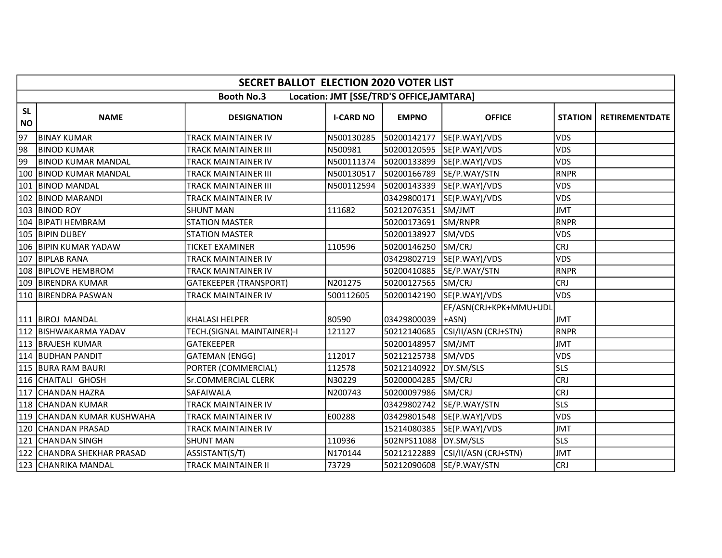|                        | <b>SECRET BALLOT ELECTION 2020 VOTER LIST</b>                  |                               |                  |              |                                   |                |                       |  |  |  |
|------------------------|----------------------------------------------------------------|-------------------------------|------------------|--------------|-----------------------------------|----------------|-----------------------|--|--|--|
|                        | <b>Booth No.3</b><br>Location: JMT [SSE/TRD'S OFFICE, JAMTARA] |                               |                  |              |                                   |                |                       |  |  |  |
| <b>SL</b><br><b>NO</b> | <b>NAME</b>                                                    | <b>DESIGNATION</b>            | <b>I-CARD NO</b> | <b>EMPNO</b> | <b>OFFICE</b>                     | <b>STATION</b> | <b>RETIREMENTDATE</b> |  |  |  |
| 97                     | <b>BINAY KUMAR</b>                                             | TRACK MAINTAINER IV           | N500130285       | 50200142177  | SE(P.WAY)/VDS                     | <b>VDS</b>     |                       |  |  |  |
| 98                     | <b>BINOD KUMAR</b>                                             | <b>TRACK MAINTAINER III</b>   | N500981          | 50200120595  | SE(P.WAY)/VDS                     | <b>VDS</b>     |                       |  |  |  |
| 99                     | <b>BINOD KUMAR MANDAL</b>                                      | TRACK MAINTAINER IV           | N500111374       | 50200133899  | SE(P.WAY)/VDS                     | <b>VDS</b>     |                       |  |  |  |
| 100                    | <b>BINOD KUMAR MANDAL</b>                                      | TRACK MAINTAINER III          | N500130517       | 50200166789  | SE/P.WAY/STN                      | RNPR           |                       |  |  |  |
| 101                    | IBINOD MANDAL                                                  | TRACK MAINTAINER III          | N500112594       | 50200143339  | SE(P.WAY)/VDS                     | <b>VDS</b>     |                       |  |  |  |
| 102                    | <b>BINOD MARANDI</b>                                           | TRACK MAINTAINER IV           |                  | 03429800171  | SE(P.WAY)/VDS                     | <b>VDS</b>     |                       |  |  |  |
|                        | 103 BINOD ROY                                                  | <b>SHUNT MAN</b>              | 111682           | 50212076351  | SM/JMT                            | <b>JMT</b>     |                       |  |  |  |
| 104                    | <b>BIPATI HEMBRAM</b>                                          | <b>STATION MASTER</b>         |                  | 50200173691  | SM/RNPR                           | RNPR           |                       |  |  |  |
|                        | 105   BIPIN DUBEY                                              | <b>STATION MASTER</b>         |                  | 50200138927  | SM/VDS                            | <b>VDS</b>     |                       |  |  |  |
|                        | 106 BIPIN KUMAR YADAW                                          | <b>TICKET EXAMINER</b>        | 110596           | 50200146250  | SM/CRJ                            | <b>CRJ</b>     |                       |  |  |  |
|                        | 107 BIPLAB RANA                                                | TRACK MAINTAINER IV           |                  | 03429802719  | SE(P.WAY)/VDS                     | <b>VDS</b>     |                       |  |  |  |
| 108                    | <b>BIPLOVE HEMBROM</b>                                         | <b>TRACK MAINTAINER IV</b>    |                  | 50200410885  | SE/P.WAY/STN                      | RNPR           |                       |  |  |  |
|                        | 109 BIRENDRA KUMAR                                             | <b>GATEKEEPER (TRANSPORT)</b> | N201275          | 50200127565  | SM/CRJ                            | <b>CRJ</b>     |                       |  |  |  |
|                        | 110 BIRENDRA PASWAN                                            | TRACK MAINTAINER IV           | 500112605        | 50200142190  | SE(P.WAY)/VDS                     | <b>VDS</b>     |                       |  |  |  |
|                        | 111   BIROJ MANDAL                                             | <b>KHALASI HELPER</b>         | 80590            | 03429800039  | EF/ASN(CRJ+KPK+MMU+UDL<br>$+ASN)$ | <b>JMT</b>     |                       |  |  |  |
|                        | 112 BISHWAKARMA YADAV                                          | TECH.(SIGNAL MAINTAINER)-I    | 121127           | 50212140685  | CSI/II/ASN (CRJ+STN)              | RNPR           |                       |  |  |  |
|                        | 113   BRAJESH KUMAR                                            | <b>GATEKEEPER</b>             |                  | 50200148957  | SM/JMT                            | JMT            |                       |  |  |  |
|                        | 114 BUDHAN PANDIT                                              | <b>GATEMAN (ENGG)</b>         | 112017           | 50212125738  | SM/VDS                            | <b>VDS</b>     |                       |  |  |  |
|                        | 115 BURA RAM BAURI                                             | PORTER (COMMERCIAL)           | 112578           | 50212140922  | DY.SM/SLS                         | <b>SLS</b>     |                       |  |  |  |
|                        | 116 CHAITALI GHOSH                                             | Sr.COMMERCIAL CLERK           | N30229           | 50200004285  | SM/CRJ                            | <b>CRJ</b>     |                       |  |  |  |
| 117                    | <b>CHANDAN HAZRA</b>                                           | <b>SAFAIWALA</b>              | N200743          | 50200097986  | SM/CRJ                            | <b>CRJ</b>     |                       |  |  |  |
|                        | 118 CHANDAN KUMAR                                              | TRACK MAINTAINER IV           |                  | 03429802742  | SE/P.WAY/STN                      | <b>SLS</b>     |                       |  |  |  |
|                        | 119 CHANDAN KUMAR KUSHWAHA                                     | TRACK MAINTAINER IV           | E00288           | 03429801548  | SE(P.WAY)/VDS                     | <b>VDS</b>     |                       |  |  |  |
| 120                    | <b>CHANDAN PRASAD</b>                                          | TRACK MAINTAINER IV           |                  | 15214080385  | SE(P.WAY)/VDS                     | <b>JMT</b>     |                       |  |  |  |
| 121                    | <b>CHANDAN SINGH</b>                                           | <b>SHUNT MAN</b>              | 110936           | 502NPS11088  | DY.SM/SLS                         | <b>SLS</b>     |                       |  |  |  |
|                        | 122 CHANDRA SHEKHAR PRASAD                                     | ASSISTANT(S/T)                | N170144          | 50212122889  | CSI/II/ASN (CRJ+STN)              | <b>JMT</b>     |                       |  |  |  |
|                        | 123 CHANRIKA MANDAL                                            | <b>TRACK MAINTAINER II</b>    | 73729            | 50212090608  | SE/P.WAY/STN                      | <b>CRJ</b>     |                       |  |  |  |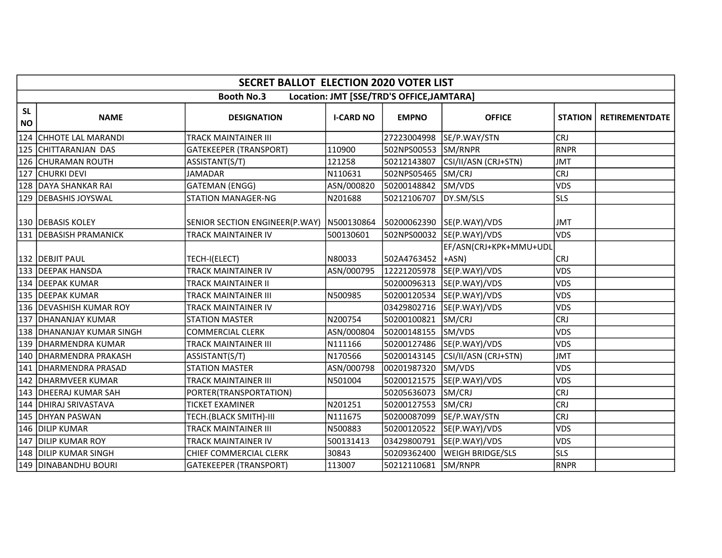|                        | <b>SECRET BALLOT ELECTION 2020 VOTER LIST</b> |                                |                  |                                           |                           |                |                       |  |  |  |
|------------------------|-----------------------------------------------|--------------------------------|------------------|-------------------------------------------|---------------------------|----------------|-----------------------|--|--|--|
|                        |                                               | <b>Booth No.3</b>              |                  | Location: JMT [SSE/TRD'S OFFICE, JAMTARA] |                           |                |                       |  |  |  |
| <b>SL</b><br><b>NO</b> | <b>NAME</b>                                   | <b>DESIGNATION</b>             | <b>I-CARD NO</b> | <b>EMPNO</b>                              | <b>OFFICE</b>             | <b>STATION</b> | <b>RETIREMENTDATE</b> |  |  |  |
| 124                    | CHHOTE LAL MARANDI                            | <b>TRACK MAINTAINER III</b>    |                  | 27223004998                               | SE/P.WAY/STN              | <b>CRJ</b>     |                       |  |  |  |
|                        | 125 CHITTARANJAN DAS                          | <b>GATEKEEPER (TRANSPORT)</b>  | 110900           | 502NPS00553                               | SM/RNPR                   | RNPR           |                       |  |  |  |
| 126                    | <b>CHURAMAN ROUTH</b>                         | ASSISTANT(S/T)                 | 121258           | 50212143807                               | CSI/II/ASN (CRJ+STN)      | <b>JMT</b>     |                       |  |  |  |
| 127                    | <b>CHURKI DEVI</b>                            | <b>JAMADAR</b>                 | N110631          | 502NPS05465 SM/CRJ                        |                           | <b>CRJ</b>     |                       |  |  |  |
|                        | 128 DAYA SHANKAR RAI                          | <b>GATEMAN (ENGG)</b>          | ASN/000820       | 50200148842                               | SM/VDS                    | <b>VDS</b>     |                       |  |  |  |
|                        | 129   DEBASHIS JOYSWAL                        | <b>STATION MANAGER-NG</b>      | N201688          | 50212106707                               | DY.SM/SLS                 | <b>SLS</b>     |                       |  |  |  |
|                        | 130   DEBASIS KOLEY                           | SENIOR SECTION ENGINEER(P.WAY) | N500130864       |                                           | 50200062390 SE(P.WAY)/VDS | <b>JMT</b>     |                       |  |  |  |
|                        | 131 IDEBASISH PRAMANICK                       | TRACK MAINTAINER IV            | 500130601        |                                           | 502NPS00032 SE(P.WAY)/VDS | <b>VDS</b>     |                       |  |  |  |
|                        | 132   DEBJIT PAUL                             | TECH-I(ELECT)                  | N80033           | 502A4763452 +ASN)                         | EF/ASN(CRJ+KPK+MMU+UDL    | <b>CRJ</b>     |                       |  |  |  |
|                        | 133   DEEPAK HANSDA                           | TRACK MAINTAINER IV            | ASN/000795       | 12221205978                               | SE(P.WAY)/VDS             | <b>VDS</b>     |                       |  |  |  |
|                        | 134   DEEPAK KUMAR                            | <b>TRACK MAINTAINER II</b>     |                  | 50200096313                               | SE(P.WAY)/VDS             | <b>VDS</b>     |                       |  |  |  |
|                        | 135   DEEPAK KUMAR                            | TRACK MAINTAINER III           | N500985          | 50200120534                               | SE(P.WAY)/VDS             | <b>VDS</b>     |                       |  |  |  |
|                        | 136 IDEVASHISH KUMAR ROY                      | TRACK MAINTAINER IV            |                  | 03429802716                               | SE(P.WAY)/VDS             | <b>VDS</b>     |                       |  |  |  |
|                        | 137   DHANANJAY KUMAR                         | <b>STATION MASTER</b>          | N200754          | 50200100821                               | SM/CRJ                    | <b>CRJ</b>     |                       |  |  |  |
|                        | 138 DHANANJAY KUMAR SINGH                     | <b>COMMERCIAL CLERK</b>        | ASN/000804       | 50200148155                               | SM/VDS                    | <b>VDS</b>     |                       |  |  |  |
|                        | 139   DHARMENDRA KUMAR                        | TRACK MAINTAINER III           | N111166          | 50200127486                               | SE(P.WAY)/VDS             | <b>VDS</b>     |                       |  |  |  |
|                        | 140   DHARMENDRA PRAKASH                      | ASSISTANT(S/T)                 | N170566          | 50200143145                               | CSI/II/ASN (CRJ+STN)      | <b>JMT</b>     |                       |  |  |  |
|                        | 141   DHARMENDRA PRASAD                       | <b>STATION MASTER</b>          | ASN/000798       | 00201987320                               | SM/VDS                    | <b>VDS</b>     |                       |  |  |  |
|                        | 142   DHARMVEER KUMAR                         | <b>TRACK MAINTAINER III</b>    | N501004          | 50200121575                               | SE(P.WAY)/VDS             | <b>VDS</b>     |                       |  |  |  |
|                        | 143   DHEERAJ KUMAR SAH                       | PORTER(TRANSPORTATION)         |                  | 50205636073                               | SM/CRJ                    | <b>CRJ</b>     |                       |  |  |  |
|                        | 144 IDHIRAJ SRIVASTAVA                        | <b>TICKET EXAMINER</b>         | N201251          | 50200127553                               | SM/CRJ                    | <b>CRJ</b>     |                       |  |  |  |
|                        | 145   DHYAN PASWAN                            | TECH.(BLACK SMITH)-III         | N111675          | 50200087099                               | SE/P.WAY/STN              | <b>CRJ</b>     |                       |  |  |  |
|                        | 146   DILIP KUMAR                             | TRACK MAINTAINER III           | N500883          | 50200120522                               | SE(P.WAY)/VDS             | <b>VDS</b>     |                       |  |  |  |
|                        | 147 DILIP KUMAR ROY                           | <b>TRACK MAINTAINER IV</b>     | 500131413        | 03429800791                               | SE(P.WAY)/VDS             | <b>VDS</b>     |                       |  |  |  |
|                        | 148 DILIP KUMAR SINGH                         | CHIEF COMMERCIAL CLERK         | 30843            | 50209362400                               | <b>WEIGH BRIDGE/SLS</b>   | <b>SLS</b>     |                       |  |  |  |
|                        | 149 DINABANDHU BOURI                          | <b>GATEKEEPER (TRANSPORT)</b>  | 113007           | 50212110681                               | SM/RNPR                   | RNPR           |                       |  |  |  |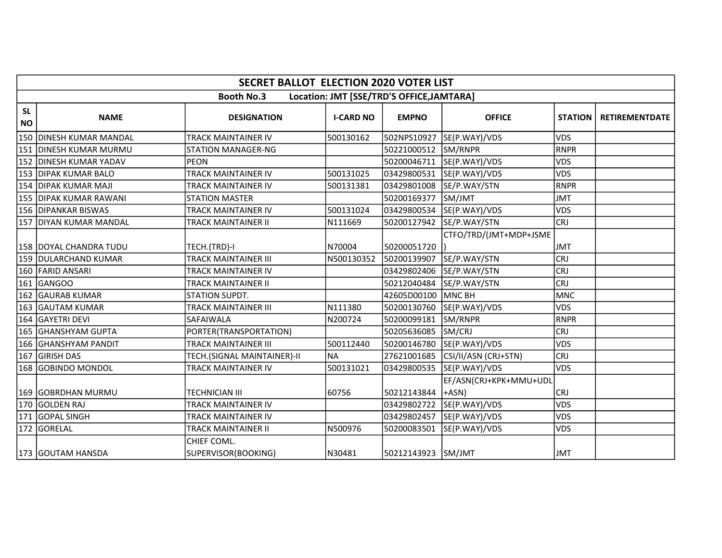|                        | <b>SECRET BALLOT ELECTION 2020 VOTER LIST</b>                  |                                    |                  |                    |                                 |                |                       |  |  |  |
|------------------------|----------------------------------------------------------------|------------------------------------|------------------|--------------------|---------------------------------|----------------|-----------------------|--|--|--|
|                        | <b>Booth No.3</b><br>Location: JMT [SSE/TRD'S OFFICE, JAMTARA] |                                    |                  |                    |                                 |                |                       |  |  |  |
| <b>SL</b><br><b>NO</b> | <b>NAME</b>                                                    | <b>DESIGNATION</b>                 | <b>I-CARD NO</b> | <b>EMPNO</b>       | <b>OFFICE</b>                   | <b>STATION</b> | <b>RETIREMENTDATE</b> |  |  |  |
|                        | 150 DINESH KUMAR MANDAL                                        | <b>TRACK MAINTAINER IV</b>         | 500130162        | 502NPS10927        | SE(P.WAY)/VDS                   | <b>VDS</b>     |                       |  |  |  |
|                        | 151   DINESH KUMAR MURMU                                       | <b>STATION MANAGER-NG</b>          |                  | 50221000512        | SM/RNPR                         | <b>RNPR</b>    |                       |  |  |  |
|                        | 152   DINESH KUMAR YADAV                                       | <b>PEON</b>                        |                  | 50200046711        | SE(P.WAY)/VDS                   | <b>VDS</b>     |                       |  |  |  |
|                        | 153 DIPAK KUMAR BALO                                           | <b>TRACK MAINTAINER IV</b>         | 500131025        | 03429800531        | SE(P.WAY)/VDS                   | <b>VDS</b>     |                       |  |  |  |
|                        | 154   DIPAK KUMAR MAJI                                         | <b>TRACK MAINTAINER IV</b>         | 500131381        | 03429801008        | SE/P.WAY/STN                    | <b>RNPR</b>    |                       |  |  |  |
|                        | 155   DIPAK KUMAR RAWANI                                       | <b>STATION MASTER</b>              |                  | 50200169377        | SM/JMT                          | <b>JMT</b>     |                       |  |  |  |
|                        | 156   DIPANKAR BISWAS                                          | <b>TRACK MAINTAINER IV</b>         | 500131024        | 03429800534        | SE(P.WAY)/VDS                   | <b>VDS</b>     |                       |  |  |  |
|                        | 157   DIYAN KUMAR MANDAL                                       | TRACK MAINTAINER II                | N111669          | 50200127942        | SE/P.WAY/STN                    | <b>CRJ</b>     |                       |  |  |  |
|                        | 158   DOYAL CHANDRA TUDU                                       | TECH.(TRD)-I                       | N70004           | 50200051720        | CTFO/TRD/(JMT+MDP+JSME          | <b>JMT</b>     |                       |  |  |  |
|                        | 159 DULARCHAND KUMAR                                           | <b>TRACK MAINTAINER III</b>        | N500130352       | 50200139907        | SE/P.WAY/STN                    | <b>CRJ</b>     |                       |  |  |  |
|                        | 160 FARID ANSARI                                               | <b>TRACK MAINTAINER IV</b>         |                  | 03429802406        | SE/P.WAY/STN                    | <b>CRJ</b>     |                       |  |  |  |
|                        | 161 GANGOO                                                     | TRACK MAINTAINER II                |                  | 50212040484        | SE/P.WAY/STN                    | <b>CRJ</b>     |                       |  |  |  |
| 162                    | <b>GAURAB KUMAR</b>                                            | STATION SUPDT.                     |                  | 42605D00100        | MNC BH                          | <b>MNC</b>     |                       |  |  |  |
| 163                    | <b>GAUTAM KUMAR</b>                                            | <b>TRACK MAINTAINER III</b>        | N111380          | 50200130760        | SE(P.WAY)/VDS                   | <b>VDS</b>     |                       |  |  |  |
|                        | 164 GAYETRI DEVI                                               | SAFAIWALA                          | N200724          | 50200099181        | SM/RNPR                         | <b>RNPR</b>    |                       |  |  |  |
|                        | 165 GHANSHYAM GUPTA                                            | PORTER(TRANSPORTATION)             |                  | 50205636085        | SM/CRJ                          | <b>CRJ</b>     |                       |  |  |  |
|                        | 166 GHANSHYAM PANDIT                                           | <b>TRACK MAINTAINER III</b>        | 500112440        | 50200146780        | SE(P.WAY)/VDS                   | <b>VDS</b>     |                       |  |  |  |
|                        | 167 GIRISH DAS                                                 | TECH.(SIGNAL MAINTAINER)-II        | <b>NA</b>        | 27621001685        | CSI/II/ASN (CRJ+STN)            | <b>CRJ</b>     |                       |  |  |  |
|                        | 168 GOBINDO MONDOL                                             | TRACK MAINTAINER IV                | 500131021        | 03429800535        | SE(P.WAY)/VDS                   | <b>VDS</b>     |                       |  |  |  |
|                        | 169 GOBRDHAN MURMU                                             | <b>TECHNICIAN III</b>              | 60756            | 50212143844        | EF/ASN(CRJ+KPK+MMU+UDL<br>+ASN) | CRJ            |                       |  |  |  |
|                        | 170 GOLDEN RAJ                                                 | TRACK MAINTAINER IV                |                  | 03429802722        | SE(P.WAY)/VDS                   | <b>VDS</b>     |                       |  |  |  |
|                        | 171 GOPAL SINGH                                                | <b>TRACK MAINTAINER IV</b>         |                  | 03429802457        | SE(P.WAY)/VDS                   | <b>VDS</b>     |                       |  |  |  |
|                        | 172 GORELAL                                                    | <b>TRACK MAINTAINER II</b>         | N500976          | 50200083501        | SE(P.WAY)/VDS                   | <b>VDS</b>     |                       |  |  |  |
|                        | 173 GOUTAM HANSDA                                              | CHIEF COML.<br>SUPERVISOR(BOOKING) | N30481           | 50212143923 SM/JMT |                                 | <b>JMT</b>     |                       |  |  |  |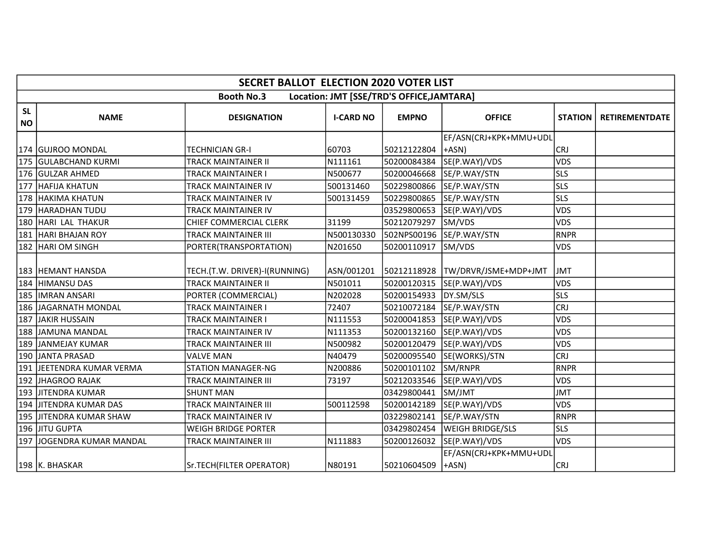|                        | <b>SECRET BALLOT ELECTION 2020 VOTER LIST</b>                  |                               |                  |              |                                    |                |                       |  |  |  |
|------------------------|----------------------------------------------------------------|-------------------------------|------------------|--------------|------------------------------------|----------------|-----------------------|--|--|--|
|                        | <b>Booth No.3</b><br>Location: JMT [SSE/TRD'S OFFICE, JAMTARA] |                               |                  |              |                                    |                |                       |  |  |  |
| <b>SL</b><br><b>NO</b> | <b>NAME</b>                                                    | <b>DESIGNATION</b>            | <b>I-CARD NO</b> | <b>EMPNO</b> | <b>OFFICE</b>                      | <b>STATION</b> | <b>RETIREMENTDATE</b> |  |  |  |
|                        |                                                                |                               |                  |              | EF/ASN(CRJ+KPK+MMU+UDL             |                |                       |  |  |  |
|                        | 174  GUJROO MONDAL                                             | <b>TECHNICIAN GR-I</b>        | 60703            | 50212122804  | +ASN)                              | <b>CRJ</b>     |                       |  |  |  |
|                        | 175 GULABCHAND KURMI                                           | <b>TRACK MAINTAINER II</b>    | N111161          | 50200084384  | SE(P.WAY)/VDS                      | <b>VDS</b>     |                       |  |  |  |
|                        | 176 GULZAR AHMED                                               | TRACK MAINTAINER I            | N500677          | 50200046668  | SE/P.WAY/STN                       | <b>SLS</b>     |                       |  |  |  |
| 177                    | <b>HAFIJA KHATUN</b>                                           | TRACK MAINTAINER IV           | 500131460        | 50229800866  | SE/P.WAY/STN                       | <b>SLS</b>     |                       |  |  |  |
|                        | 178 HAKIMA KHATUN                                              | TRACK MAINTAINER IV           | 500131459        | 50229800865  | SE/P.WAY/STN                       | <b>SLS</b>     |                       |  |  |  |
|                        | 179 HARADHAN TUDU                                              | TRACK MAINTAINER IV           |                  | 03529800653  | SE(P.WAY)/VDS                      | <b>VDS</b>     |                       |  |  |  |
|                        | 180 HARI LAL THAKUR                                            | <b>CHIEF COMMERCIAL CLERK</b> | 31199            | 50212079297  | SM/VDS                             | <b>VDS</b>     |                       |  |  |  |
| 181                    | <b>HARI BHAJAN ROY</b>                                         | <b>TRACK MAINTAINER III</b>   | N500130330       | 502NPS00196  | SE/P.WAY/STN                       | <b>RNPR</b>    |                       |  |  |  |
|                        | 182 HARI OM SINGH                                              | PORTER(TRANSPORTATION)        | N201650          | 50200110917  | SM/VDS                             | <b>VDS</b>     |                       |  |  |  |
|                        | 183 HEMANT HANSDA                                              | TECH.(T.W. DRIVER)-I(RUNNING) | ASN/001201       | 50212118928  | TW/DRVR/JSME+MDP+JMT               | <b>JMT</b>     |                       |  |  |  |
|                        | 184 HIMANSU DAS                                                | <b>TRACK MAINTAINER II</b>    | N501011          | 50200120315  | SE(P.WAY)/VDS                      | <b>VDS</b>     |                       |  |  |  |
|                        | 185  IMRAN ANSARI                                              | PORTER (COMMERCIAL)           | N202028          | 50200154933  | DY.SM/SLS                          | <b>SLS</b>     |                       |  |  |  |
|                        | 186  JAGARNATH MONDAL                                          | <b>TRACK MAINTAINER I</b>     | 72407            | 50210072184  | SE/P.WAY/STN                       | <b>CRJ</b>     |                       |  |  |  |
| 187                    | <b>JAKIR HUSSAIN</b>                                           | TRACK MAINTAINER I            | N111553          | 50200041853  | SE(P.WAY)/VDS                      | <b>VDS</b>     |                       |  |  |  |
|                        | 188 JAMUNA MANDAL                                              | TRACK MAINTAINER IV           | N111353          | 50200132160  | SE(P.WAY)/VDS                      | <b>VDS</b>     |                       |  |  |  |
|                        | 189 JANMEJAY KUMAR                                             | TRACK MAINTAINER III          | N500982          | 50200120479  | SE(P.WAY)/VDS                      | <b>VDS</b>     |                       |  |  |  |
|                        | 190 JANTA PRASAD                                               | <b>VALVE MAN</b>              | N40479           | 50200095540  | SE(WORKS)/STN                      | <b>CRJ</b>     |                       |  |  |  |
|                        | 191 JJEETENDRA KUMAR VERMA                                     | <b>STATION MANAGER-NG</b>     | N200886          | 50200101102  | SM/RNPR                            | <b>RNPR</b>    |                       |  |  |  |
|                        | 192 JHAGROO RAJAK                                              | <b>TRACK MAINTAINER III</b>   | 73197            | 50212033546  | SE(P.WAY)/VDS                      | <b>VDS</b>     |                       |  |  |  |
|                        | 193  JITENDRA KUMAR                                            | <b>SHUNT MAN</b>              |                  | 03429800441  | SM/JMT                             | <b>JMT</b>     |                       |  |  |  |
|                        | 194 IJITENDRA KUMAR DAS                                        | TRACK MAINTAINER III          | 500112598        | 50200142189  | SE(P.WAY)/VDS                      | <b>VDS</b>     |                       |  |  |  |
|                        | 195 JITENDRA KUMAR SHAW                                        | <b>TRACK MAINTAINER IV</b>    |                  | 03229802141  | SE/P.WAY/STN                       | <b>RNPR</b>    |                       |  |  |  |
|                        | l196 lJITU GUPTA                                               | <b>WEIGH BRIDGE PORTER</b>    |                  | 03429802454  | <b>WEIGH BRIDGE/SLS</b>            | <b>SLS</b>     |                       |  |  |  |
|                        | 197 JOGENDRA KUMAR MANDAL                                      | <b>TRACK MAINTAINER III</b>   | N111883          | 50200126032  | SE(P.WAY)/VDS                      | VDS            |                       |  |  |  |
|                        | 198 K. BHASKAR                                                 | Sr.TECH(FILTER OPERATOR)      | N80191           | 50210604509  | EF/ASN(CRJ+KPK+MMU+UDL<br>$+ASN$ ) | <b>CRJ</b>     |                       |  |  |  |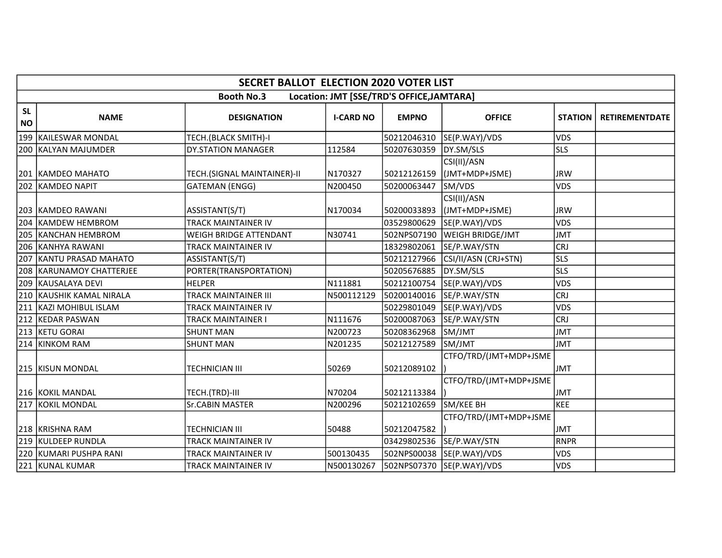|                        | <b>SECRET BALLOT ELECTION 2020 VOTER LIST</b> |                                       |                  |                                           |                                                |                          |                       |  |  |  |
|------------------------|-----------------------------------------------|---------------------------------------|------------------|-------------------------------------------|------------------------------------------------|--------------------------|-----------------------|--|--|--|
|                        |                                               | <b>Booth No.3</b>                     |                  | Location: JMT [SSE/TRD'S OFFICE, JAMTARA] |                                                |                          |                       |  |  |  |
| <b>SL</b><br><b>NO</b> | <b>NAME</b>                                   | <b>DESIGNATION</b>                    | <b>I-CARD NO</b> | <b>EMPNO</b>                              | <b>OFFICE</b>                                  | <b>STATION</b>           | <b>RETIREMENTDATE</b> |  |  |  |
|                        | 199 KAILESWAR MONDAL                          | TECH.(BLACK SMITH)-I                  |                  | 50212046310                               | SE(P.WAY)/VDS                                  | <b>VDS</b>               |                       |  |  |  |
|                        | 200 KALYAN MAJUMDER                           | <b>DY.STATION MANAGER</b>             | 112584           | 50207630359                               | DY.SM/SLS                                      | <b>SLS</b>               |                       |  |  |  |
|                        | 201   KAMDEO MAHATO                           | TECH.(SIGNAL MAINTAINER)-II           | N170327          | 50212126159                               | CSI(II)/ASN<br>(JMT+MDP+JSME)                  | <b>JRW</b>               |                       |  |  |  |
|                        | 202 KAMDEO NAPIT                              | <b>GATEMAN (ENGG)</b>                 | N200450          | 50200063447                               | SM/VDS                                         | VDS                      |                       |  |  |  |
|                        | 203   KAMDEO RAWANI<br>204 KAMDEW HEMBROM     | ASSISTANT(S/T)<br>TRACK MAINTAINER IV | N170034          | 50200033893<br>03529800629                | CSI(II)/ASN<br>(JMT+MDP+JSME)<br>SE(P.WAY)/VDS | <b>JRW</b><br><b>VDS</b> |                       |  |  |  |
|                        | 205 KANCHAN HEMBROM                           | <b>WEIGH BRIDGE ATTENDANT</b>         | N30741           | 502NPS07190                               | <b>WEIGH BRIDGE/JMT</b>                        | <b>JMT</b>               |                       |  |  |  |
|                        | 206 KANHYA RAWANI                             | <b>TRACK MAINTAINER IV</b>            |                  | 18329802061                               | SE/P.WAY/STN                                   | <b>CRJ</b>               |                       |  |  |  |
|                        | 207 KANTU PRASAD MAHATO                       | ASSISTANT(S/T)                        |                  | 50212127966                               | CSI/II/ASN (CRJ+STN)                           | <b>SLS</b>               |                       |  |  |  |
|                        | 208   KARUNAMOY CHATTERJEE                    | PORTER(TRANSPORTATION)                |                  | 50205676885                               | DY.SM/SLS                                      | <b>SLS</b>               |                       |  |  |  |
|                        | 209 KAUSALAYA DEVI                            | <b>HELPER</b>                         | N111881          | 50212100754                               | SE(P.WAY)/VDS                                  | <b>VDS</b>               |                       |  |  |  |
|                        | 210 KAUSHIK KAMAL NIRALA                      | <b>TRACK MAINTAINER III</b>           | N500112129       | 50200140016                               | SE/P.WAY/STN                                   | <b>CRJ</b>               |                       |  |  |  |
|                        | 211 KAZI MOHIBUL ISLAM                        | TRACK MAINTAINER IV                   |                  | 50229801049                               | SE(P.WAY)/VDS                                  | <b>VDS</b>               |                       |  |  |  |
|                        | 212 KEDAR PASWAN                              | TRACK MAINTAINER I                    | N111676          | 50200087063                               | SE/P.WAY/STN                                   | <b>CRJ</b>               |                       |  |  |  |
|                        | 213 KETU GORAI                                | <b>SHUNT MAN</b>                      | N200723          | 50208362968                               | SM/JMT                                         | <b>JMT</b>               |                       |  |  |  |
|                        | 214 KINKOM RAM                                | <b>SHUNT MAN</b>                      | N201235          | 50212127589                               | SM/JMT                                         | <b>JMT</b>               |                       |  |  |  |
|                        | 215 KISUN MONDAL                              | <b>TECHNICIAN III</b>                 | 50269            | 50212089102                               | CTFO/TRD/(JMT+MDP+JSME                         | <b>JMT</b>               |                       |  |  |  |
|                        | 216 KOKIL MANDAL                              | TECH.(TRD)-III                        | N70204           | 50212113384                               | CTFO/TRD/(JMT+MDP+JSME                         | <b>JMT</b>               |                       |  |  |  |
|                        | 217 KOKIL MONDAL                              | <b>Sr.CABIN MASTER</b>                | N200296          | 50212102659                               | SM/KEE BH                                      | <b>KEE</b>               |                       |  |  |  |
|                        | 218 KRISHNA RAM                               | <b>TECHNICIAN III</b>                 | 50488            | 50212047582                               | CTFO/TRD/(JMT+MDP+JSME                         | <b>JMT</b>               |                       |  |  |  |
|                        | 219 KULDEEP RUNDLA                            | TRACK MAINTAINER IV                   |                  | 03429802536                               | SE/P.WAY/STN                                   | <b>RNPR</b>              |                       |  |  |  |
|                        | 220 KUMARI PUSHPA RANI                        | TRACK MAINTAINER IV                   | 500130435        |                                           | 502NPS00038 SE(P.WAY)/VDS                      | <b>VDS</b>               |                       |  |  |  |
|                        | 221 KUNAL KUMAR                               | TRACK MAINTAINER IV                   | N500130267       |                                           | 502NPS07370 SE(P.WAY)/VDS                      | VDS                      |                       |  |  |  |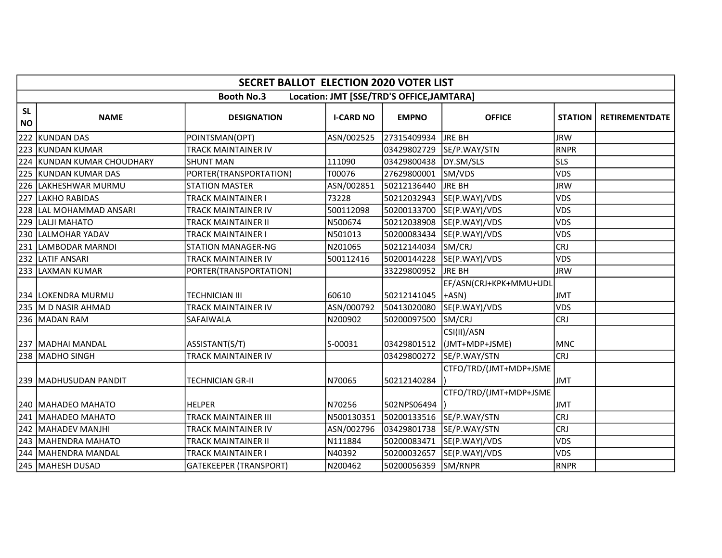|                        | <b>SECRET BALLOT ELECTION 2020 VOTER LIST</b> |                               |                  |                                           |                                          |                |                       |  |  |  |
|------------------------|-----------------------------------------------|-------------------------------|------------------|-------------------------------------------|------------------------------------------|----------------|-----------------------|--|--|--|
|                        |                                               | <b>Booth No.3</b>             |                  | Location: JMT [SSE/TRD'S OFFICE, JAMTARA] |                                          |                |                       |  |  |  |
| <b>SL</b><br><b>NO</b> | <b>NAME</b>                                   | <b>DESIGNATION</b>            | <b>I-CARD NO</b> | <b>EMPNO</b>                              | <b>OFFICE</b>                            | <b>STATION</b> | <b>RETIREMENTDATE</b> |  |  |  |
| 222                    | KUNDAN DAS                                    | POINTSMAN(OPT)                | ASN/002525       | 27315409934                               | <b>JRE BH</b>                            | <b>JRW</b>     |                       |  |  |  |
|                        | 223 KUNDAN KUMAR                              | <b>TRACK MAINTAINER IV</b>    |                  | 03429802729                               | SE/P.WAY/STN                             | <b>RNPR</b>    |                       |  |  |  |
|                        | 224 KUNDAN KUMAR CHOUDHARY                    | <b>SHUNT MAN</b>              | 111090           | 03429800438                               | DY.SM/SLS                                | <b>SLS</b>     |                       |  |  |  |
| 225                    | KUNDAN KUMAR DAS                              | PORTER(TRANSPORTATION)        | T00076           | 27629800001                               | SM/VDS                                   | <b>VDS</b>     |                       |  |  |  |
| 226                    | LAKHESHWAR MURMU                              | <b>STATION MASTER</b>         | ASN/002851       | 50212136440                               | <b>JRE BH</b>                            | <b>JRW</b>     |                       |  |  |  |
| 227                    | LAKHO RABIDAS                                 | <b>TRACK MAINTAINER I</b>     | 73228            | 50212032943                               | SE(P.WAY)/VDS                            | VDS            |                       |  |  |  |
|                        | 228 LAL MOHAMMAD ANSARI                       | TRACK MAINTAINER IV           | 500112098        | 50200133700                               | SE(P.WAY)/VDS                            | VDS            |                       |  |  |  |
|                        | 229 LALJI MAHATO                              | TRACK MAINTAINER II           | N500674          | 50212038908                               | SE(P.WAY)/VDS                            | <b>VDS</b>     |                       |  |  |  |
|                        | 230 LALMOHAR YADAV                            | TRACK MAINTAINER I            | N501013          | 50200083434                               | SE(P.WAY)/VDS                            | <b>VDS</b>     |                       |  |  |  |
|                        | 231 LAMBODAR MARNDI                           | <b>STATION MANAGER-NG</b>     | N201065          | 50212144034                               | SM/CRJ                                   | <b>CRJ</b>     |                       |  |  |  |
|                        | 232 LATIF ANSARI                              | TRACK MAINTAINER IV           | 500112416        | 50200144228                               | SE(P.WAY)/VDS                            | <b>VDS</b>     |                       |  |  |  |
|                        | 233 LAXMAN KUMAR                              | PORTER(TRANSPORTATION)        |                  | 33229800952                               | <b>JRE BH</b>                            | <b>JRW</b>     |                       |  |  |  |
|                        | 234 LOKENDRA MURMU                            | <b>TECHNICIAN III</b>         | 60610            | 50212141045                               | EF/ASN(CRJ+KPK+MMU+UDL<br>$ +ASN\rangle$ | <b>JMT</b>     |                       |  |  |  |
|                        | 235 M D NASIR AHMAD                           | <b>TRACK MAINTAINER IV</b>    | ASN/000792       | 50413020080                               | SE(P.WAY)/VDS                            | VDS            |                       |  |  |  |
|                        | 236   MADAN RAM                               | SAFAIWALA                     | N200902          | 50200097500                               | SM/CRJ                                   | <b>CRJ</b>     |                       |  |  |  |
|                        | 237   MADHAI MANDAL                           | ASSISTANT(S/T)                | S-00031          | 03429801512                               | CSI(II)/ASN<br>(JMT+MDP+JSME)            | <b>MNC</b>     |                       |  |  |  |
|                        | 238 MADHO SINGH                               | TRACK MAINTAINER IV           |                  | 03429800272                               | SE/P.WAY/STN                             | <b>CRJ</b>     |                       |  |  |  |
|                        | 239  MADHUSUDAN PANDIT                        | <b>TECHNICIAN GR-II</b>       | N70065           | 50212140284                               | CTFO/TRD/(JMT+MDP+JSME                   | <b>JMT</b>     |                       |  |  |  |
|                        | 240   MAHADEO MAHATO                          | <b>HELPER</b>                 | N70256           | 502NPS06494                               | CTFO/TRD/(JMT+MDP+JSME                   | <b>JMT</b>     |                       |  |  |  |
|                        | 241 MAHADEO MAHATO                            | <b>TRACK MAINTAINER III</b>   | N500130351       | 50200133516                               | SE/P.WAY/STN                             | <b>CRJ</b>     |                       |  |  |  |
|                        | 242   MAHADEV MANJHI                          | TRACK MAINTAINER IV           | ASN/002796       | 03429801738                               | SE/P.WAY/STN                             | <b>CRJ</b>     |                       |  |  |  |
|                        | 243   MAHENDRA MAHATO                         | TRACK MAINTAINER II           | N111884          |                                           | 50200083471 SE(P.WAY)/VDS                | VDS            |                       |  |  |  |
|                        | 244   MAHENDRA MANDAL                         | TRACK MAINTAINER I            | N40392           | 50200032657                               | SE(P.WAY)/VDS                            | <b>VDS</b>     |                       |  |  |  |
|                        | 245 MAHESH DUSAD                              | <b>GATEKEEPER (TRANSPORT)</b> | N200462          | 50200056359                               | SM/RNPR                                  | <b>RNPR</b>    |                       |  |  |  |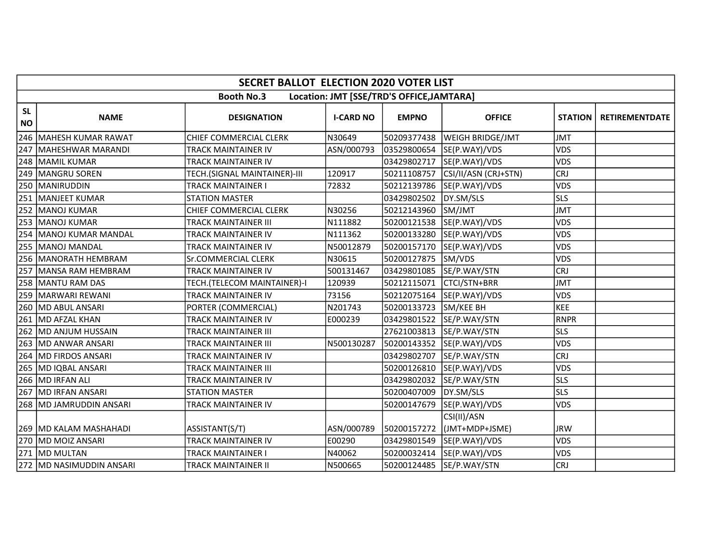|                        | <b>SECRET BALLOT ELECTION 2020 VOTER LIST</b> |                              |                  |                                           |                               |                |                       |  |  |  |
|------------------------|-----------------------------------------------|------------------------------|------------------|-------------------------------------------|-------------------------------|----------------|-----------------------|--|--|--|
|                        |                                               | <b>Booth No.3</b>            |                  | Location: JMT [SSE/TRD'S OFFICE, JAMTARA] |                               |                |                       |  |  |  |
| <b>SL</b><br><b>NO</b> | <b>NAME</b>                                   | <b>DESIGNATION</b>           | <b>I-CARD NO</b> | <b>EMPNO</b>                              | <b>OFFICE</b>                 | <b>STATION</b> | <b>RETIREMENTDATE</b> |  |  |  |
| 246                    | MAHESH KUMAR RAWAT                            | CHIEF COMMERCIAL CLERK       | N30649           | 50209377438                               | <b>WEIGH BRIDGE/JMT</b>       | <b>JMT</b>     |                       |  |  |  |
| 247                    | MAHESHWAR MARANDI                             | TRACK MAINTAINER IV          | ASN/000793       | 03529800654                               | SE(P.WAY)/VDS                 | VDS            |                       |  |  |  |
|                        | 248 MAMIL KUMAR                               | TRACK MAINTAINER IV          |                  | 03429802717                               | SE(P.WAY)/VDS                 | VDS            |                       |  |  |  |
| 249                    | <b>IMANGRU SOREN</b>                          | TECH.(SIGNAL MAINTAINER)-III | 120917           | 50211108757                               | CSI/II/ASN (CRJ+STN)          | <b>CRJ</b>     |                       |  |  |  |
|                        | 250  MANIRUDDIN                               | TRACK MAINTAINER I           | 72832            | 50212139786                               | SE(P.WAY)/VDS                 | <b>VDS</b>     |                       |  |  |  |
| 251                    | <b>MANJEET KUMAR</b>                          | <b>STATION MASTER</b>        |                  | 03429802502                               | DY.SM/SLS                     | <b>SLS</b>     |                       |  |  |  |
|                        | 252 MANOJ KUMAR                               | CHIEF COMMERCIAL CLERK       | N30256           | 50212143960                               | SM/JMT                        | <b>JMT</b>     |                       |  |  |  |
|                        | 253 MANOJ KUMAR                               | <b>TRACK MAINTAINER III</b>  | N111882          | 50200121538                               | SE(P.WAY)/VDS                 | VDS            |                       |  |  |  |
| 254                    | MANOJ KUMAR MANDAL                            | <b>TRACK MAINTAINER IV</b>   | N111362          | 50200133280                               | SE(P.WAY)/VDS                 | VDS            |                       |  |  |  |
|                        | 255   MANOJ MANDAL                            | <b>TRACK MAINTAINER IV</b>   | N50012879        | 50200157170                               | SE(P.WAY)/VDS                 | <b>VDS</b>     |                       |  |  |  |
|                        | 256   MANORATH HEMBRAM                        | Sr.COMMERCIAL CLERK          | N30615           | 50200127875                               | SM/VDS                        | <b>VDS</b>     |                       |  |  |  |
| 257                    | <b>IMANSA RAM HEMBRAM</b>                     | TRACK MAINTAINER IV          | 500131467        | 03429801085                               | SE/P.WAY/STN                  | <b>CRJ</b>     |                       |  |  |  |
|                        | 258   MANTU RAM DAS                           | TECH.(TELECOM MAINTAINER)-I  | 120939           | 50212115071                               | CTCI/STN+BRR                  | <b>JMT</b>     |                       |  |  |  |
|                        | 259   MARWARI REWANI                          | TRACK MAINTAINER IV          | 73156            | 50212075164                               | SE(P.WAY)/VDS                 | VDS            |                       |  |  |  |
|                        | 260   MD ABUL ANSARI                          | PORTER (COMMERCIAL)          | N201743          | 50200133723                               | SM/KEE BH                     | <b>KEE</b>     |                       |  |  |  |
| 261                    | <b>IMD AFZAL KHAN</b>                         | TRACK MAINTAINER IV          | E000239          | 03429801522                               | SE/P.WAY/STN                  | <b>RNPR</b>    |                       |  |  |  |
|                        | 262 MD ANJUM HUSSAIN                          | <b>TRACK MAINTAINER III</b>  |                  | 27621003813                               | SE/P.WAY/STN                  | <b>SLS</b>     |                       |  |  |  |
|                        | 263   MD ANWAR ANSARI                         | TRACK MAINTAINER III         | N500130287       |                                           | 50200143352 SE(P.WAY)/VDS     | <b>VDS</b>     |                       |  |  |  |
|                        | 264   MD FIRDOS ANSARI                        | TRACK MAINTAINER IV          |                  | 03429802707                               | SE/P.WAY/STN                  | <b>CRJ</b>     |                       |  |  |  |
|                        | 265 MD IQBAL ANSARI                           | TRACK MAINTAINER III         |                  | 50200126810                               | SE(P.WAY)/VDS                 | <b>VDS</b>     |                       |  |  |  |
|                        | 266 MD IRFAN ALI                              | TRACK MAINTAINER IV          |                  | 03429802032                               | SE/P.WAY/STN                  | <b>SLS</b>     |                       |  |  |  |
|                        | 267 MD IRFAN ANSARI                           | <b>STATION MASTER</b>        |                  | 50200407009                               | DY.SM/SLS                     | <b>SLS</b>     |                       |  |  |  |
|                        | 268 MD JAMRUDDIN ANSARI                       | TRACK MAINTAINER IV          |                  | 50200147679                               | SE(P.WAY)/VDS                 | <b>VDS</b>     |                       |  |  |  |
|                        | 269 MD KALAM MASHAHADI                        | ASSISTANT(S/T)               | ASN/000789       | 50200157272                               | CSI(II)/ASN<br>(JMT+MDP+JSME) | <b>JRW</b>     |                       |  |  |  |
|                        | 270 MD MOIZ ANSARI                            | TRACK MAINTAINER IV          | E00290           | 03429801549                               | SE(P.WAY)/VDS                 | VDS            |                       |  |  |  |
|                        | 271 MD MULTAN                                 | TRACK MAINTAINER I           | N40062           | 50200032414                               | SE(P.WAY)/VDS                 | <b>VDS</b>     |                       |  |  |  |
|                        | 272 MD NASIMUDDIN ANSARI                      | <b>TRACK MAINTAINER II</b>   | N500665          | 50200124485                               | SE/P.WAY/STN                  | <b>CRJ</b>     |                       |  |  |  |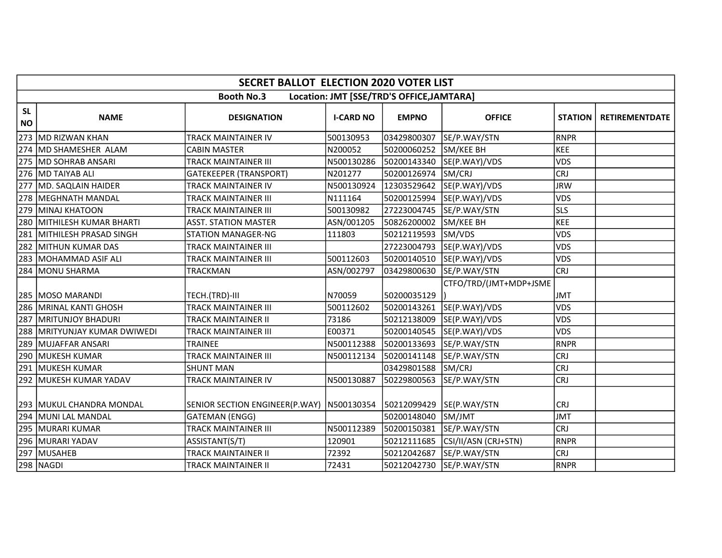|                        | <b>SECRET BALLOT ELECTION 2020 VOTER LIST</b>                  |                                |                  |              |                        |                |                       |  |  |  |
|------------------------|----------------------------------------------------------------|--------------------------------|------------------|--------------|------------------------|----------------|-----------------------|--|--|--|
|                        | <b>Booth No.3</b><br>Location: JMT [SSE/TRD'S OFFICE, JAMTARA] |                                |                  |              |                        |                |                       |  |  |  |
| <b>SL</b><br><b>NO</b> | <b>NAME</b>                                                    | <b>DESIGNATION</b>             | <b>I-CARD NO</b> | <b>EMPNO</b> | <b>OFFICE</b>          | <b>STATION</b> | <b>RETIREMENTDATE</b> |  |  |  |
|                        | 273 MD RIZWAN KHAN                                             | TRACK MAINTAINER IV            | 500130953        | 03429800307  | SE/P.WAY/STN           | <b>RNPR</b>    |                       |  |  |  |
|                        | 274 MD SHAMESHER ALAM                                          | <b>CABIN MASTER</b>            | N200052          | 50200060252  | SM/KEE BH              | <b>KEE</b>     |                       |  |  |  |
|                        | 275 MD SOHRAB ANSARI                                           | <b>TRACK MAINTAINER III</b>    | N500130286       | 50200143340  | SE(P.WAY)/VDS          | <b>VDS</b>     |                       |  |  |  |
|                        | 276 MD TAIYAB ALI                                              | <b>GATEKEEPER (TRANSPORT)</b>  | N201277          | 50200126974  | SM/CRJ                 | <b>CRJ</b>     |                       |  |  |  |
| 277                    | MD. SAQLAIN HAIDER                                             | TRACK MAINTAINER IV            | N500130924       | 12303529642  | SE(P.WAY)/VDS          | <b>JRW</b>     |                       |  |  |  |
|                        | 278   MEGHNATH MANDAL                                          | <b>TRACK MAINTAINER III</b>    | N111164          | 50200125994  | SE(P.WAY)/VDS          | VDS            |                       |  |  |  |
|                        | 279 MINAJ KHATOON                                              | TRACK MAINTAINER III           | 500130982        | 27223004745  | SE/P.WAY/STN           | <b>SLS</b>     |                       |  |  |  |
| 280                    | MITHILESH KUMAR BHARTI                                         | <b>ASST. STATION MASTER</b>    | ASN/001205       | 50826200002  | SM/KEE BH              | <b>KEE</b>     |                       |  |  |  |
|                        | 281 MITHILESH PRASAD SINGH                                     | <b>STATION MANAGER-NG</b>      | 111803           | 50212119593  | SM/VDS                 | <b>VDS</b>     |                       |  |  |  |
|                        | 282 MITHUN KUMAR DAS                                           | <b>TRACK MAINTAINER III</b>    |                  | 27223004793  | SE(P.WAY)/VDS          | VDS            |                       |  |  |  |
|                        | 283   MOHAMMAD ASIF ALI                                        | TRACK MAINTAINER III           | 500112603        | 50200140510  | SE(P.WAY)/VDS          | <b>VDS</b>     |                       |  |  |  |
|                        | 284 MONU SHARMA                                                | <b>TRACKMAN</b>                | ASN/002797       | 03429800630  | SE/P.WAY/STN           | <b>CRJ</b>     |                       |  |  |  |
|                        | 285   MOSO MARANDI                                             | TECH.(TRD)-III                 | N70059           | 50200035129  | CTFO/TRD/(JMT+MDP+JSME | <b>JMT</b>     |                       |  |  |  |
| 286                    | MRINAL KANTI GHOSH                                             | <b>TRACK MAINTAINER III</b>    | 500112602        | 50200143261  | SE(P.WAY)/VDS          | VDS            |                       |  |  |  |
| 287                    | <b>IMRITUNJOY BHADURI</b>                                      | TRACK MAINTAINER II            | 73186            | 50212138009  | SE(P.WAY)/VDS          | <b>VDS</b>     |                       |  |  |  |
|                        | 288 MRITYUNJAY KUMAR DWIWEDI                                   | <b>TRACK MAINTAINER III</b>    | E00371           | 50200140545  | SE(P.WAY)/VDS          | <b>VDS</b>     |                       |  |  |  |
|                        | 289 MUJAFFAR ANSARI                                            | <b>TRAINEE</b>                 | N500112388       | 50200133693  | SE/P.WAY/STN           | <b>RNPR</b>    |                       |  |  |  |
|                        | 290 MUKESH KUMAR                                               | <b>TRACK MAINTAINER III</b>    | N500112134       | 50200141148  | SE/P.WAY/STN           | <b>CRJ</b>     |                       |  |  |  |
|                        | 291 MUKESH KUMAR                                               | <b>SHUNT MAN</b>               |                  | 03429801588  | SM/CRJ                 | <b>CRJ</b>     |                       |  |  |  |
|                        | 292   MUKESH KUMAR YADAV                                       | TRACK MAINTAINER IV            | N500130887       | 50229800563  | SE/P.WAY/STN           | <b>CRJ</b>     |                       |  |  |  |
|                        | 293   MUKUL CHANDRA MONDAL                                     | SENIOR SECTION ENGINEER(P.WAY) | N500130354       | 50212099429  | SE(P.WAY/STN           | <b>CRJ</b>     |                       |  |  |  |
|                        | 294 MUNI LAL MANDAL                                            | <b>GATEMAN (ENGG)</b>          |                  | 50200148040  | SM/JMT                 | <b>JMT</b>     |                       |  |  |  |
|                        | 295   MURARI KUMAR                                             | <b>TRACK MAINTAINER III</b>    | N500112389       | 50200150381  | SE/P.WAY/STN           | <b>CRJ</b>     |                       |  |  |  |
|                        | 296 MURARI YADAV                                               | ASSISTANT(S/T)                 | 120901           | 50212111685  | CSI/II/ASN (CRJ+STN)   | <b>RNPR</b>    |                       |  |  |  |
|                        | 297 MUSAHEB                                                    | TRACK MAINTAINER II            | 72392            | 50212042687  | SE/P.WAY/STN           | <b>CRJ</b>     |                       |  |  |  |
|                        | 298 NAGDI                                                      | <b>TRACK MAINTAINER II</b>     | 72431            | 50212042730  | SE/P.WAY/STN           | <b>RNPR</b>    |                       |  |  |  |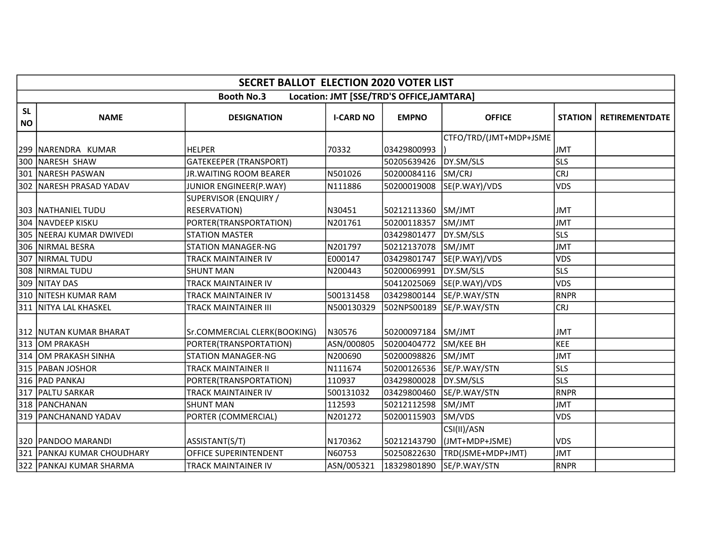|                        | <b>SECRET BALLOT ELECTION 2020 VOTER LIST</b> |                                |                  |                                           |                               |                |                       |  |  |
|------------------------|-----------------------------------------------|--------------------------------|------------------|-------------------------------------------|-------------------------------|----------------|-----------------------|--|--|
|                        |                                               | <b>Booth No.3</b>              |                  | Location: JMT [SSE/TRD'S OFFICE, JAMTARA] |                               |                |                       |  |  |
| <b>SL</b><br><b>NO</b> | <b>NAME</b>                                   | <b>DESIGNATION</b>             | <b>I-CARD NO</b> | <b>EMPNO</b>                              | <b>OFFICE</b>                 | <b>STATION</b> | <b>RETIREMENTDATE</b> |  |  |
|                        | 299   NARENDRA KUMAR                          | <b>HELPER</b>                  | 70332            | 03429800993                               | CTFO/TRD/(JMT+MDP+JSME        | <b>JMT</b>     |                       |  |  |
|                        | 300 NARESH SHAW                               | <b>GATEKEEPER (TRANSPORT)</b>  |                  | 50205639426                               | DY.SM/SLS                     | <b>SLS</b>     |                       |  |  |
|                        | 301 NARESH PASWAN                             | <b>JR. WAITING ROOM BEARER</b> | N501026          | 50200084116                               | SM/CRJ                        | <b>CRJ</b>     |                       |  |  |
|                        | 302   NARESH PRASAD YADAV                     | JUNIOR ENGINEER(P.WAY)         | N111886          | 50200019008                               | SE(P.WAY)/VDS                 | <b>VDS</b>     |                       |  |  |
|                        |                                               | SUPERVISOR (ENQUIRY /          |                  |                                           |                               |                |                       |  |  |
|                        | 303   NATHANIEL TUDU                          | RESERVATION)                   | N30451           | 50212113360                               | SM/JMT                        | <b>JMT</b>     |                       |  |  |
|                        | 304 NAVDEEP KISKU                             | PORTER(TRANSPORTATION)         | N201761          | 50200118357                               | SM/JMT                        | <b>JMT</b>     |                       |  |  |
|                        | 305   NEERAJ KUMAR DWIVEDI                    | <b>STATION MASTER</b>          |                  | 03429801477                               | DY.SM/SLS                     | <b>SLS</b>     |                       |  |  |
|                        | 306 NIRMAL BESRA                              | <b>STATION MANAGER-NG</b>      | N201797          | 50212137078                               | SM/JMT                        | <b>JMT</b>     |                       |  |  |
|                        | 307 NIRMAL TUDU                               | <b>TRACK MAINTAINER IV</b>     | E000147          | 03429801747                               | SE(P.WAY)/VDS                 | <b>VDS</b>     |                       |  |  |
|                        | 308 NIRMAL TUDU                               | <b>SHUNT MAN</b>               | N200443          | 50200069991                               | DY.SM/SLS                     | <b>SLS</b>     |                       |  |  |
|                        | 309 NITAY DAS                                 | <b>TRACK MAINTAINER IV</b>     |                  | 50412025069                               | SE(P.WAY)/VDS                 | <b>VDS</b>     |                       |  |  |
|                        | 310 NITESH KUMAR RAM                          | TRACK MAINTAINER IV            | 500131458        | 03429800144                               | SE/P.WAY/STN                  | <b>RNPR</b>    |                       |  |  |
|                        | 311   NITYA LAL KHASKEL                       | TRACK MAINTAINER III           | N500130329       | 502NPS00189                               | SE/P.WAY/STN                  | <b>CRJ</b>     |                       |  |  |
|                        | 312 NUTAN KUMAR BHARAT                        | Sr.COMMERCIAL CLERK(BOOKING)   | N30576           | 50200097184                               | SM/JMT                        | <b>JMT</b>     |                       |  |  |
|                        | 313 OM PRAKASH                                | PORTER(TRANSPORTATION)         | ASN/000805       | 50200404772                               | SM/KEE BH                     | KEE            |                       |  |  |
|                        | 314 OM PRAKASH SINHA                          | <b>STATION MANAGER-NG</b>      | N200690          | 50200098826                               | SM/JMT                        | <b>JMT</b>     |                       |  |  |
|                        | 315   PABAN JOSHOR                            | <b>TRACK MAINTAINER II</b>     | N111674          | 50200126536                               | SE/P.WAY/STN                  | <b>SLS</b>     |                       |  |  |
|                        | 316 PAD PANKAJ                                | PORTER(TRANSPORTATION)         | 110937           | 03429800028                               | DY.SM/SLS                     | <b>SLS</b>     |                       |  |  |
|                        | 317   PALTU SARKAR                            | <b>TRACK MAINTAINER IV</b>     | 500131032        | 03429800460                               | SE/P.WAY/STN                  | <b>RNPR</b>    |                       |  |  |
|                        | 318   PANCHANAN                               | <b>SHUNT MAN</b>               | 112593           | 50212112598                               | SM/JMT                        | <b>JMT</b>     |                       |  |  |
|                        | 319   PANCHANAND YADAV                        | PORTER (COMMERCIAL)            | N201272          | 50200115903                               | SM/VDS                        | <b>VDS</b>     |                       |  |  |
|                        | 320   PANDOO MARANDI                          | ASSISTANT(S/T)                 | N170362          | 50212143790                               | CSI(II)/ASN<br>(JMT+MDP+JSME) | VDS            |                       |  |  |
|                        | 321   PANKAJ KUMAR CHOUDHARY                  | OFFICE SUPERINTENDENT          | N60753           | 50250822630                               | TRD(JSME+MDP+JMT)             | <b>JMT</b>     |                       |  |  |
|                        | 322 PANKAJ KUMAR SHARMA                       | <b>TRACK MAINTAINER IV</b>     | ASN/005321       | 18329801890                               | SE/P.WAY/STN                  | RNPR           |                       |  |  |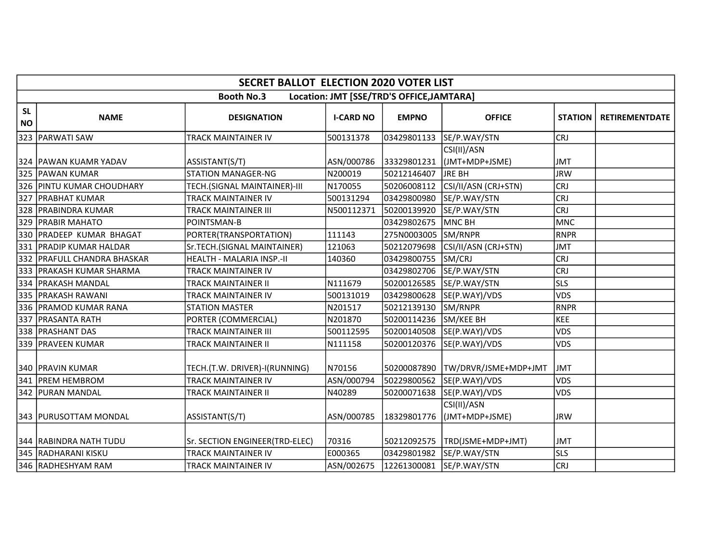|                        | <b>SECRET BALLOT ELECTION 2020 VOTER LIST</b> |                                |                  |                                           |                               |                |                       |  |  |
|------------------------|-----------------------------------------------|--------------------------------|------------------|-------------------------------------------|-------------------------------|----------------|-----------------------|--|--|
|                        |                                               | <b>Booth No.3</b>              |                  | Location: JMT [SSE/TRD'S OFFICE, JAMTARA] |                               |                |                       |  |  |
| <b>SL</b><br><b>NO</b> | <b>NAME</b>                                   | <b>DESIGNATION</b>             | <b>I-CARD NO</b> | <b>EMPNO</b>                              | <b>OFFICE</b>                 | <b>STATION</b> | <b>RETIREMENTDATE</b> |  |  |
|                        | 323 PARWATI SAW                               | TRACK MAINTAINER IV            | 500131378        | 03429801133                               | SE/P.WAY/STN                  | <b>CRJ</b>     |                       |  |  |
|                        | 324 PAWAN KUAMR YADAV                         | ASSISTANT(S/T)                 | ASN/000786       | 33329801231                               | CSI(II)/ASN<br>(JMT+MDP+JSME) | <b>JMT</b>     |                       |  |  |
|                        | 325 PAWAN KUMAR                               | <b>STATION MANAGER-NG</b>      | N200019          | 50212146407                               | JRE BH                        | <b>JRW</b>     |                       |  |  |
|                        | 326 PINTU KUMAR CHOUDHARY                     | TECH.(SIGNAL MAINTAINER)-III   | N170055          | 50206008112                               | CSI/II/ASN (CRJ+STN)          | <b>CRJ</b>     |                       |  |  |
| $\boxed{327}$          | <b>PRABHAT KUMAR</b>                          | <b>TRACK MAINTAINER IV</b>     | 500131294        | 03429800980                               | SE/P.WAY/STN                  | <b>CRJ</b>     |                       |  |  |
|                        | 328 PRABINDRA KUMAR                           | TRACK MAINTAINER III           | N500112371       | 50200139920                               | SE/P.WAY/STN                  | <b>CRJ</b>     |                       |  |  |
|                        | 329 PRABIR MAHATO                             | POINTSMAN-B                    |                  | 03429802675                               | MNC BH                        | <b>MNC</b>     |                       |  |  |
|                        | 330 PRADEEP KUMAR BHAGAT                      | PORTER(TRANSPORTATION)         | 111143           | 275N0003005                               | SM/RNPR                       | <b>RNPR</b>    |                       |  |  |
|                        | 331 PRADIP KUMAR HALDAR                       | Sr.TECH.(SIGNAL MAINTAINER)    | 121063           | 50212079698                               | CSI/II/ASN (CRJ+STN)          | <b>JMT</b>     |                       |  |  |
|                        | 332 IPRAFULL CHANDRA BHASKAR                  | HEALTH - MALARIA INSP.-II      | 140360           | 03429800755                               | SM/CRJ                        | <b>CRJ</b>     |                       |  |  |
|                        | 1333 IPRAKASH KUMAR SHARMA                    | TRACK MAINTAINER IV            |                  | 03429802706                               | SE/P.WAY/STN                  | <b>CRJ</b>     |                       |  |  |
|                        | 334   PRAKASH MANDAL                          | <b>TRACK MAINTAINER II</b>     | N111679          | 50200126585                               | SE/P.WAY/STN                  | <b>SLS</b>     |                       |  |  |
|                        | 335   PRAKASH RAWANI                          | TRACK MAINTAINER IV            | 500131019        | 03429800628                               | SE(P.WAY)/VDS                 | VDS            |                       |  |  |
| 336                    | <b>PRAMOD KUMAR RANA</b>                      | <b>STATION MASTER</b>          | N201517          | 50212139130                               | SM/RNPR                       | <b>RNPR</b>    |                       |  |  |
| 337                    | <b>PRASANTA RATH</b>                          | PORTER (COMMERCIAL)            | N201870          | 50200114236                               | SM/KEE BH                     | KEE            |                       |  |  |
|                        | 338 PRASHANT DAS                              | <b>TRACK MAINTAINER III</b>    | 500112595        | 50200140508                               | SE(P.WAY)/VDS                 | VDS            |                       |  |  |
|                        | 339   PRAVEEN KUMAR                           | TRACK MAINTAINER II            | N111158          | 50200120376                               | SE(P.WAY)/VDS                 | <b>VDS</b>     |                       |  |  |
|                        | 340   PRAVIN KUMAR                            | TECH.(T.W. DRIVER)-I(RUNNING)  | N70156           | 50200087890                               | TW/DRVR/JSME+MDP+JMT          | <b>JMT</b>     |                       |  |  |
|                        | 341 PREM HEMBROM                              | <b>TRACK MAINTAINER IV</b>     | ASN/000794       | 50229800562                               | SE(P.WAY)/VDS                 | <b>VDS</b>     |                       |  |  |
|                        | 342 PURAN MANDAL                              | TRACK MAINTAINER II            | N40289           | 50200071638                               | SE(P.WAY)/VDS                 | VDS            |                       |  |  |
|                        | 343   PURUSOTTAM MONDAL                       | ASSISTANT(S/T)                 | ASN/000785       | 18329801776                               | CSI(II)/ASN<br>(JMT+MDP+JSME) | <b>JRW</b>     |                       |  |  |
|                        | 344   RABINDRA NATH TUDU                      | Sr. SECTION ENGINEER(TRD-ELEC) | 70316            | 50212092575                               | TRD(JSME+MDP+JMT)             | <b>JMT</b>     |                       |  |  |
|                        | 345 RADHARANI KISKU                           | <b>TRACK MAINTAINER IV</b>     | E000365          | 03429801982                               | SE/P.WAY/STN                  | <b>SLS</b>     |                       |  |  |
|                        | 346 RADHESHYAM RAM                            | <b>TRACK MAINTAINER IV</b>     | ASN/002675       | 12261300081                               | SE/P.WAY/STN                  | <b>CRJ</b>     |                       |  |  |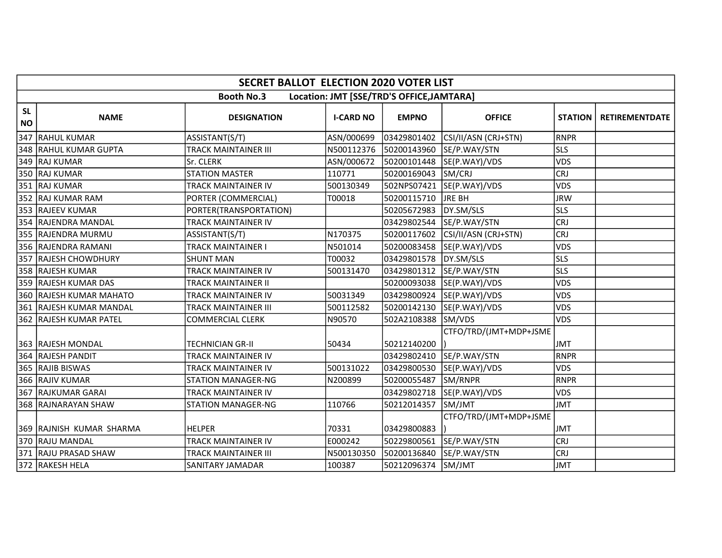|                        |                          | <b>SECRET BALLOT ELECTION 2020 VOTER LIST</b> |                  |                                           |                            |                |                       |
|------------------------|--------------------------|-----------------------------------------------|------------------|-------------------------------------------|----------------------------|----------------|-----------------------|
|                        |                          | <b>Booth No.3</b>                             |                  | Location: JMT [SSE/TRD'S OFFICE, JAMTARA] |                            |                |                       |
| <b>SL</b><br><b>NO</b> | <b>NAME</b>              | <b>DESIGNATION</b>                            | <b>I-CARD NO</b> | <b>EMPNO</b>                              | <b>OFFICE</b>              | <b>STATION</b> | <b>RETIREMENTDATE</b> |
|                        | 347 RAHUL KUMAR          | ASSISTANT(S/T)                                | ASN/000699       | 03429801402                               | CSI/II/ASN (CRJ+STN)       | <b>RNPR</b>    |                       |
|                        | 348   RAHUL KUMAR GUPTA  | <b>TRACK MAINTAINER III</b>                   | N500112376       | 50200143960                               | SE/P.WAY/STN               | <b>SLS</b>     |                       |
|                        | 349 RAJ KUMAR            | Sr. CLERK                                     | ASN/000672       | 50200101448                               | SE(P.WAY)/VDS              | <b>VDS</b>     |                       |
|                        | 350 RAJ KUMAR            | <b>STATION MASTER</b>                         | 110771           | 50200169043                               | SM/CRJ                     | <b>CRJ</b>     |                       |
|                        | 351 RAJ KUMAR            | TRACK MAINTAINER IV                           | 500130349        | 502NPS07421                               | SE(P.WAY)/VDS              | <b>VDS</b>     |                       |
|                        | 352 RAJ KUMAR RAM        | PORTER (COMMERCIAL)                           | T00018           | 50200115710                               | <b>JRE BH</b>              | <b>JRW</b>     |                       |
|                        | 353 RAJEEV KUMAR         | PORTER(TRANSPORTATION)                        |                  | 50205672983                               | DY.SM/SLS                  | <b>SLS</b>     |                       |
|                        | 354 RAJENDRA MANDAL      | TRACK MAINTAINER IV                           |                  | 03429802544                               | SE/P.WAY/STN               | <b>CRJ</b>     |                       |
|                        | 355 RAJENDRA MURMU       | ASSISTANT(S/T)                                | N170375          | 50200117602                               | CSI/II/ASN (CRJ+STN)       | <b>CRJ</b>     |                       |
|                        | 356 RAJENDRA RAMANI      | <b>TRACK MAINTAINER I</b>                     | N501014          | 50200083458                               | SE(P.WAY)/VDS              | <b>VDS</b>     |                       |
|                        | 357 RAJESH CHOWDHURY     | <b>SHUNT MAN</b>                              | T00032           | 03429801578                               | DY.SM/SLS                  | <b>SLS</b>     |                       |
|                        | 358 RAJESH KUMAR         | TRACK MAINTAINER IV                           | 500131470        | 03429801312                               | SE/P.WAY/STN               | <b>SLS</b>     |                       |
|                        | 359 RAJESH KUMAR DAS     | TRACK MAINTAINER II                           |                  |                                           | 50200093038  SE(P.WAY)/VDS | <b>VDS</b>     |                       |
|                        | 360 RAJESH KUMAR MAHATO  | TRACK MAINTAINER IV                           | 50031349         | 03429800924                               | SE(P.WAY)/VDS              | <b>VDS</b>     |                       |
|                        | 361 RAJESH KUMAR MANDAL  | <b>TRACK MAINTAINER III</b>                   | 500112582        | 50200142130                               | SE(P.WAY)/VDS              | <b>VDS</b>     |                       |
|                        | 362   RAJESH KUMAR PATEL | <b>COMMERCIAL CLERK</b>                       | N90570           | 502A2108388                               | SM/VDS                     | <b>VDS</b>     |                       |
|                        | 363 RAJESH MONDAL        | <b>TECHNICIAN GR-II</b>                       | 50434            | 50212140200                               | CTFO/TRD/(JMT+MDP+JSME     | <b>JMT</b>     |                       |
|                        | 364 RAJESH PANDIT        | TRACK MAINTAINER IV                           |                  | 03429802410                               | SE/P.WAY/STN               | <b>RNPR</b>    |                       |
|                        | 365 RAJIB BISWAS         | TRACK MAINTAINER IV                           | 500131022        | 03429800530                               | SE(P.WAY)/VDS              | <b>VDS</b>     |                       |
|                        | 366 RAJIV KUMAR          | <b>STATION MANAGER-NG</b>                     | N200899          | 50200055487                               | SM/RNPR                    | <b>RNPR</b>    |                       |
|                        | 367 RAJKUMAR GARAI       | <b>TRACK MAINTAINER IV</b>                    |                  | 03429802718                               | SE(P.WAY)/VDS              | <b>VDS</b>     |                       |
|                        | 368 RAJNARAYAN SHAW      | <b>STATION MANAGER-NG</b>                     | 110766           | 50212014357                               | SM/JMT                     | <b>JMT</b>     |                       |
|                        | 369 RAJNISH KUMAR SHARMA | <b>HELPER</b>                                 | 70331            | 03429800883                               | CTFO/TRD/(JMT+MDP+JSME     | <b>JMT</b>     |                       |
|                        | 370 RAJU MANDAL          | <b>TRACK MAINTAINER IV</b>                    | E000242          | 50229800561                               | SE/P.WAY/STN               | <b>CRJ</b>     |                       |
|                        | 371 RAJU PRASAD SHAW     | TRACK MAINTAINER III                          | N500130350       | 50200136840                               | SE/P.WAY/STN               | <b>CRJ</b>     |                       |
|                        | 372 RAKESH HELA          | SANITARY JAMADAR                              | 100387           | 50212096374                               | SM/JMT                     | <b>JMT</b>     |                       |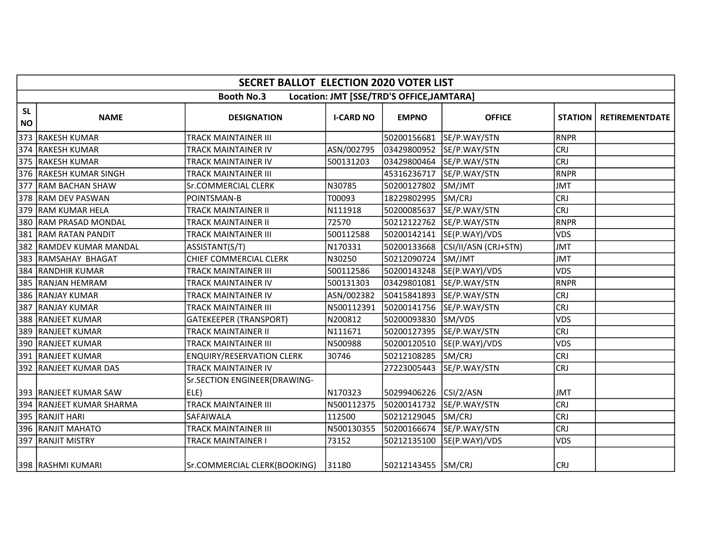|                        | <b>SECRET BALLOT ELECTION 2020 VOTER LIST</b> |                                      |                  |                                           |                          |                |                       |  |  |
|------------------------|-----------------------------------------------|--------------------------------------|------------------|-------------------------------------------|--------------------------|----------------|-----------------------|--|--|
|                        |                                               | <b>Booth No.3</b>                    |                  | Location: JMT [SSE/TRD'S OFFICE, JAMTARA] |                          |                |                       |  |  |
| <b>SL</b><br><b>NO</b> | <b>NAME</b>                                   | <b>DESIGNATION</b>                   | <b>I-CARD NO</b> | <b>EMPNO</b>                              | <b>OFFICE</b>            | <b>STATION</b> | <b>RETIREMENTDATE</b> |  |  |
|                        | 373 RAKESH KUMAR                              | TRACK MAINTAINER III                 |                  | 50200156681                               | SE/P.WAY/STN             | <b>RNPR</b>    |                       |  |  |
|                        | 374 RAKESH KUMAR                              | TRACK MAINTAINER IV                  | ASN/002795       | 03429800952                               | SE/P.WAY/STN             | <b>CRJ</b>     |                       |  |  |
|                        | 375  RAKESH KUMAR                             | TRACK MAINTAINER IV                  | 500131203        | 03429800464                               | SE/P.WAY/STN             | <b>CRJ</b>     |                       |  |  |
| 376                    | <b>RAKESH KUMAR SINGH</b>                     | <b>TRACK MAINTAINER III</b>          |                  | 45316236717                               | SE/P.WAY/STN             | <b>RNPR</b>    |                       |  |  |
| 377                    | <b>RAM BACHAN SHAW</b>                        | Sr.COMMERCIAL CLERK                  | N30785           | 50200127802                               | SM/JMT                   | <b>JMT</b>     |                       |  |  |
|                        | 378 RAM DEV PASWAN                            | POINTSMAN-B                          | T00093           | 18229802995                               | SM/CRJ                   | <b>CRJ</b>     |                       |  |  |
|                        | 379 RAM KUMAR HELA                            | <b>TRACK MAINTAINER II</b>           | N111918          | 50200085637                               | SE/P.WAY/STN             | <b>CRJ</b>     |                       |  |  |
|                        | 380 RAM PRASAD MONDAL                         | <b>TRACK MAINTAINER II</b>           | 72570            | 50212122762                               | SE/P.WAY/STN             | <b>RNPR</b>    |                       |  |  |
|                        | 381 RAM RATAN PANDIT                          | <b>TRACK MAINTAINER III</b>          | 500112588        | 50200142141                               | SE(P.WAY)/VDS            | <b>VDS</b>     |                       |  |  |
|                        | 382 RAMDEV KUMAR MANDAL                       | ASSISTANT(S/T)                       | N170331          | 50200133668                               | CSI/II/ASN (CRJ+STN)     | <b>JMT</b>     |                       |  |  |
|                        | 383 RAMSAHAY BHAGAT                           | CHIEF COMMERCIAL CLERK               | N30250           | 50212090724                               | SM/JMT                   | <b>JMT</b>     |                       |  |  |
| 384                    | <b>IRANDHIR KUMAR</b>                         | TRACK MAINTAINER III                 | 500112586        | 50200143248                               | SE(P.WAY)/VDS            | <b>VDS</b>     |                       |  |  |
| 385                    | <b>RANJAN HEMRAM</b>                          | TRACK MAINTAINER IV                  | 500131303        | 03429801081                               | SE/P.WAY/STN             | <b>RNPR</b>    |                       |  |  |
|                        | 386  RANJAY KUMAR                             | TRACK MAINTAINER IV                  | ASN/002382       | 50415841893                               | SE/P.WAY/STN             | <b>CRJ</b>     |                       |  |  |
|                        | 387 RANJAY KUMAR                              | <b>TRACK MAINTAINER III</b>          | N500112391       | 50200141756                               | SE/P.WAY/STN             | <b>CRJ</b>     |                       |  |  |
|                        | 388   RANJEET KUMAR                           | <b>GATEKEEPER (TRANSPORT)</b>        | N200812          | 50200093830                               | SM/VDS                   | <b>VDS</b>     |                       |  |  |
|                        | 389 RANJEET KUMAR                             | <b>TRACK MAINTAINER II</b>           | N111671          | 50200127395                               | SE/P.WAY/STN             | <b>CRJ</b>     |                       |  |  |
|                        | 390   RANJEET KUMAR                           | <b>TRACK MAINTAINER III</b>          | N500988          | 50200120510                               | SE(P.WAY)/VDS            | <b>VDS</b>     |                       |  |  |
|                        | 391 RANJEET KUMAR                             | <b>ENQUIRY/RESERVATION CLERK</b>     | 30746            | 50212108285                               | SM/CRJ                   | <b>CRJ</b>     |                       |  |  |
|                        | 392 RANJEET KUMAR DAS                         | <b>TRACK MAINTAINER IV</b>           |                  | 27223005443                               | SE/P.WAY/STN             | <b>CRJ</b>     |                       |  |  |
|                        | 393 RANJEET KUMAR SAW                         | Sr.SECTION ENGINEER(DRAWING-<br>ELE) | N170323          | 50299406226                               | CSI/2/ASN                | <b>JMT</b>     |                       |  |  |
|                        | 394 RANJEET KUMAR SHARMA                      | TRACK MAINTAINER III                 | N500112375       | 50200141732                               | SE/P.WAY/STN             | <b>CRJ</b>     |                       |  |  |
|                        | 395 RANJIT HARI                               | SAFAIWALA                            | 112500           | 50212129045                               | SM/CRJ                   | <b>CRJ</b>     |                       |  |  |
|                        | 396 RANJIT MAHATO                             | <b>TRACK MAINTAINER III</b>          | N500130355       |                                           | 50200166674 SE/P.WAY/STN | <b>CRJ</b>     |                       |  |  |
|                        | 397 RANJIT MISTRY                             | <b>TRACK MAINTAINER I</b>            | 73152            | 50212135100                               | SE(P.WAY)/VDS            | <b>VDS</b>     |                       |  |  |
|                        | 398 RASHMI KUMARI                             | Sr.COMMERCIAL CLERK(BOOKING)         | 31180            | 50212143455 SM/CRJ                        |                          | <b>CRJ</b>     |                       |  |  |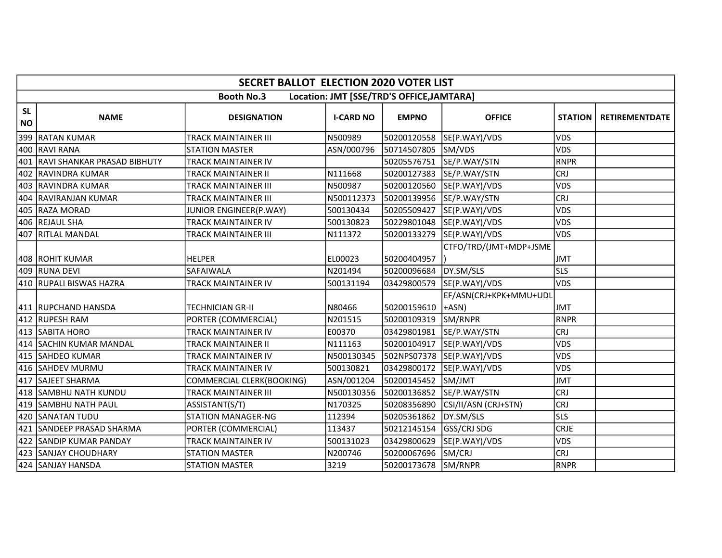|                        | <b>SECRET BALLOT ELECTION 2020 VOTER LIST</b> |                                  |                  |                                           |                                   |                |                       |  |  |  |
|------------------------|-----------------------------------------------|----------------------------------|------------------|-------------------------------------------|-----------------------------------|----------------|-----------------------|--|--|--|
|                        |                                               | <b>Booth No.3</b>                |                  | Location: JMT [SSE/TRD'S OFFICE, JAMTARA] |                                   |                |                       |  |  |  |
| <b>SL</b><br><b>NO</b> | <b>NAME</b>                                   | <b>DESIGNATION</b>               | <b>I-CARD NO</b> | <b>EMPNO</b>                              | <b>OFFICE</b>                     | <b>STATION</b> | <b>RETIREMENTDATE</b> |  |  |  |
|                        | 399 RATAN KUMAR                               | <b>TRACK MAINTAINER III</b>      | N500989          | 50200120558                               | SE(P.WAY)/VDS                     | <b>VDS</b>     |                       |  |  |  |
|                        | 400 RAVI RANA                                 | <b>STATION MASTER</b>            | ASN/000796       | 50714507805                               | SM/VDS                            | <b>VDS</b>     |                       |  |  |  |
|                        | 401 RAVI SHANKAR PRASAD BIBHUTY               | <b>TRACK MAINTAINER IV</b>       |                  | 50205576751                               | SE/P.WAY/STN                      | RNPR           |                       |  |  |  |
|                        | 402 RAVINDRA KUMAR                            | <b>TRACK MAINTAINER II</b>       | N111668          | 50200127383                               | SE/P.WAY/STN                      | <b>CRJ</b>     |                       |  |  |  |
|                        | 403 RAVINDRA KUMAR                            | <b>TRACK MAINTAINER III</b>      | N500987          | 50200120560                               | SE(P.WAY)/VDS                     | <b>VDS</b>     |                       |  |  |  |
|                        | 404 RAVIRANJAN KUMAR                          | <b>TRACK MAINTAINER III</b>      | N500112373       | 50200139956                               | SE/P.WAY/STN                      | <b>CRJ</b>     |                       |  |  |  |
|                        | 405  RAZA MORAD                               | JUNIOR ENGINEER(P.WAY)           | 500130434        | 50205509427                               | SE(P.WAY)/VDS                     | <b>VDS</b>     |                       |  |  |  |
|                        | 406 REJAUL SHA                                | <b>TRACK MAINTAINER IV</b>       | 500130823        | 50229801048                               | SE(P.WAY)/VDS                     | <b>VDS</b>     |                       |  |  |  |
|                        | 407 RITLAL MANDAL                             | <b>TRACK MAINTAINER III</b>      | N111372          | 50200133279                               | SE(P.WAY)/VDS                     | <b>VDS</b>     |                       |  |  |  |
|                        | 408 ROHIT KUMAR                               | <b>HELPER</b>                    | EL00023          | 50200404957                               | CTFO/TRD/(JMT+MDP+JSME            | <b>JMT</b>     |                       |  |  |  |
|                        | 409 RUNA DEVI                                 | SAFAIWALA                        | N201494          | 50200096684                               | DY.SM/SLS                         | <b>SLS</b>     |                       |  |  |  |
|                        | 410 RUPALI BISWAS HAZRA                       | <b>TRACK MAINTAINER IV</b>       | 500131194        | 03429800579                               | SE(P.WAY)/VDS                     | <b>VDS</b>     |                       |  |  |  |
|                        | 411   RUPCHAND HANSDA                         | <b>TECHNICIAN GR-II</b>          | N80466           | 50200159610                               | EF/ASN(CRJ+KPK+MMU+UDL<br>$+ASN)$ | <b>JMT</b>     |                       |  |  |  |
|                        | 412 RUPESH RAM                                | PORTER (COMMERCIAL)              | N201515          | 50200109319                               | SM/RNPR                           | RNPR           |                       |  |  |  |
|                        | 413 SABITA HORO                               | <b>TRACK MAINTAINER IV</b>       | E00370           | 03429801981                               | SE/P.WAY/STN                      | <b>CRJ</b>     |                       |  |  |  |
|                        | 414 SACHIN KUMAR MANDAL                       | <b>TRACK MAINTAINER II</b>       | N111163          | 50200104917                               | SE(P.WAY)/VDS                     | <b>VDS</b>     |                       |  |  |  |
|                        | 415 SAHDEO KUMAR                              | TRACK MAINTAINER IV              | N500130345       | 502NPS07378                               | SE(P.WAY)/VDS                     | <b>VDS</b>     |                       |  |  |  |
|                        | 416 SAHDEV MURMU                              | <b>TRACK MAINTAINER IV</b>       | 500130821        | 03429800172                               | SE(P.WAY)/VDS                     | <b>VDS</b>     |                       |  |  |  |
|                        | 417 SAJEET SHARMA                             | <b>COMMERCIAL CLERK(BOOKING)</b> | ASN/001204       | 50200145452                               | SM/JMT                            | <b>JMT</b>     |                       |  |  |  |
|                        | 418 SAMBHU NATH KUNDU                         | <b>TRACK MAINTAINER III</b>      | N500130356       | 50200136852                               | SE/P.WAY/STN                      | <b>CRJ</b>     |                       |  |  |  |
|                        | 419  SAMBHU NATH PAUL                         | ASSISTANT(S/T)                   | N170325          | 50208356890                               | CSI/II/ASN (CRJ+STN)              | <b>CRJ</b>     |                       |  |  |  |
|                        | 420 SANATAN TUDU                              | <b>STATION MANAGER-NG</b>        | 112394           | 50205361862                               | DY.SM/SLS                         | <b>SLS</b>     |                       |  |  |  |
|                        | 421 SANDEEP PRASAD SHARMA                     | PORTER (COMMERCIAL)              | 113437           | 50212145154                               | <b>GSS/CRJ SDG</b>                | <b>CRJE</b>    |                       |  |  |  |
| 422                    | <b>SANDIP KUMAR PANDAY</b>                    | <b>TRACK MAINTAINER IV</b>       | 500131023        | 03429800629                               | SE(P.WAY)/VDS                     | <b>VDS</b>     |                       |  |  |  |
|                        | 423 SANJAY CHOUDHARY                          | <b>STATION MASTER</b>            | N200746          | 50200067696                               | SM/CRJ                            | <b>CRJ</b>     |                       |  |  |  |
|                        | 424 SANJAY HANSDA                             | <b>STATION MASTER</b>            | 3219             | 50200173678                               | SM/RNPR                           | RNPR           |                       |  |  |  |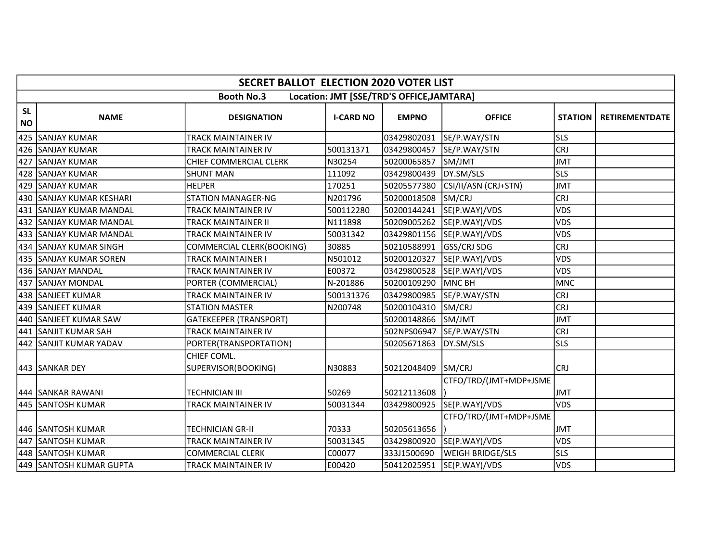|                        | <b>SECRET BALLOT ELECTION 2020 VOTER LIST</b> |                                    |                  |                                           |                         |                |                       |  |  |
|------------------------|-----------------------------------------------|------------------------------------|------------------|-------------------------------------------|-------------------------|----------------|-----------------------|--|--|
|                        |                                               | <b>Booth No.3</b>                  |                  | Location: JMT [SSE/TRD'S OFFICE, JAMTARA] |                         |                |                       |  |  |
| <b>SL</b><br><b>NO</b> | <b>NAME</b>                                   | <b>DESIGNATION</b>                 | <b>I-CARD NO</b> | <b>EMPNO</b>                              | <b>OFFICE</b>           | <b>STATION</b> | <b>RETIREMENTDATE</b> |  |  |
| 425                    | <b>SANJAY KUMAR</b>                           | TRACK MAINTAINER IV                |                  | 03429802031                               | SE/P.WAY/STN            | <b>SLS</b>     |                       |  |  |
| 426                    | <b>SANJAY KUMAR</b>                           | <b>TRACK MAINTAINER IV</b>         | 500131371        | 03429800457                               | SE/P.WAY/STN            | <b>CRJ</b>     |                       |  |  |
| 427                    | <b>SANJAY KUMAR</b>                           | CHIEF COMMERCIAL CLERK             | N30254           | 50200065857                               | SM/JMT                  | <b>JMT</b>     |                       |  |  |
| 428                    | ISANJAY KUMAR                                 | <b>SHUNT MAN</b>                   | 111092           | 03429800439                               | DY.SM/SLS               | <b>SLS</b>     |                       |  |  |
| 429                    | <b>ISANJAY KUMAR</b>                          | <b>HELPER</b>                      | 170251           | 50205577380                               | CSI/II/ASN (CRJ+STN)    | <b>JMT</b>     |                       |  |  |
| 430                    | <b>SANJAY KUMAR KESHARI</b>                   | <b>STATION MANAGER-NG</b>          | N201796          | 50200018508                               | SM/CRJ                  | <b>CRJ</b>     |                       |  |  |
|                        | 431 SANJAY KUMAR MANDAL                       | TRACK MAINTAINER IV                | 500112280        | 50200144241                               | SE(P.WAY)/VDS           | <b>VDS</b>     |                       |  |  |
| 432                    | SANJAY KUMAR MANDAL                           | <b>TRACK MAINTAINER II</b>         | N111898          | 50209005262                               | SE(P.WAY)/VDS           | VDS            |                       |  |  |
| 433                    | <b>SANJAY KUMAR MANDAL</b>                    | TRACK MAINTAINER IV                | 50031342         | 03429801156                               | SE(P.WAY)/VDS           | <b>VDS</b>     |                       |  |  |
|                        | 434 SANJAY KUMAR SINGH                        | COMMERCIAL CLERK(BOOKING)          | 30885            | 50210588991                               | <b>GSS/CRJ SDG</b>      | <b>CRJ</b>     |                       |  |  |
|                        | 435 SANJAY KUMAR SOREN                        | <b>TRACK MAINTAINER I</b>          | N501012          | 50200120327                               | SE(P.WAY)/VDS           | <b>VDS</b>     |                       |  |  |
|                        | 436 SANJAY MANDAL                             | TRACK MAINTAINER IV                | E00372           | 03429800528                               | SE(P.WAY)/VDS           | VDS            |                       |  |  |
| 437                    | <b>SANJAY MONDAL</b>                          | PORTER (COMMERCIAL)                | N-201886         | 50200109290                               | <b>MNC BH</b>           | <b>MNC</b>     |                       |  |  |
|                        | 438 SANJEET KUMAR                             | TRACK MAINTAINER IV                | 500131376        | 03429800985                               | SE/P.WAY/STN            | <b>CRJ</b>     |                       |  |  |
| 439                    | <b>SANJEET KUMAR</b>                          | <b>STATION MASTER</b>              | N200748          | 50200104310                               | SM/CRJ                  | <b>CRJ</b>     |                       |  |  |
|                        | 440 SANJEET KUMAR SAW                         | <b>GATEKEEPER (TRANSPORT)</b>      |                  | 50200148866                               | SM/JMT                  | <b>JMT</b>     |                       |  |  |
|                        | 441 SANJIT KUMAR SAH                          | <b>TRACK MAINTAINER IV</b>         |                  | 502NPS06947                               | SE/P.WAY/STN            | <b>CRJ</b>     |                       |  |  |
|                        | 442 SANJIT KUMAR YADAV                        | PORTER(TRANSPORTATION)             |                  | 50205671863                               | DY.SM/SLS               | <b>SLS</b>     |                       |  |  |
|                        | 443 SANKAR DEY                                | CHIEF COML.<br>SUPERVISOR(BOOKING) | N30883           | 50212048409                               | SM/CRJ                  | <b>CRJ</b>     |                       |  |  |
|                        | 444 SANKAR RAWANI                             | <b>TECHNICIAN III</b>              | 50269            | 50212113608                               | CTFO/TRD/(JMT+MDP+JSME  | <b>JMT</b>     |                       |  |  |
|                        | 445 SANTOSH KUMAR                             | TRACK MAINTAINER IV                | 50031344         | 03429800925                               | SE(P.WAY)/VDS           | <b>VDS</b>     |                       |  |  |
|                        | 446 SANTOSH KUMAR                             | <b>TECHNICIAN GR-II</b>            | 70333            | 50205613656                               | CTFO/TRD/(JMT+MDP+JSME  | <b>JMT</b>     |                       |  |  |
|                        | 447 SANTOSH KUMAR                             | TRACK MAINTAINER IV                | 50031345         | 03429800920                               | SE(P.WAY)/VDS           | <b>VDS</b>     |                       |  |  |
|                        | 448 SANTOSH KUMAR                             | <b>COMMERCIAL CLERK</b>            | C00077           | 333J1500690                               | <b>WEIGH BRIDGE/SLS</b> | <b>SLS</b>     |                       |  |  |
|                        | 449 SANTOSH KUMAR GUPTA                       | TRACK MAINTAINER IV                | E00420           | 50412025951                               | SE(P.WAY)/VDS           | <b>VDS</b>     |                       |  |  |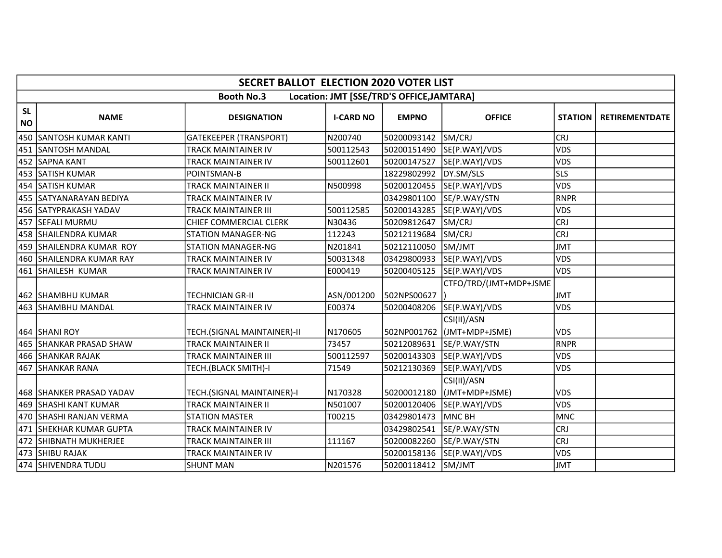|                        |                           | <b>SECRET BALLOT ELECTION 2020 VOTER LIST</b> |                  |                                           |                                           |                |                       |
|------------------------|---------------------------|-----------------------------------------------|------------------|-------------------------------------------|-------------------------------------------|----------------|-----------------------|
|                        |                           | <b>Booth No.3</b>                             |                  | Location: JMT [SSE/TRD'S OFFICE, JAMTARA] |                                           |                |                       |
| <b>SL</b><br><b>NO</b> | <b>NAME</b>               | <b>DESIGNATION</b>                            | <b>I-CARD NO</b> | <b>EMPNO</b>                              | <b>OFFICE</b>                             | <b>STATION</b> | <b>RETIREMENTDATE</b> |
|                        | 450 SANTOSH KUMAR KANTI   | <b>GATEKEEPER (TRANSPORT)</b>                 | N200740          | 50200093142                               | SM/CRJ                                    | <b>CRJ</b>     |                       |
|                        | 451 SANTOSH MANDAL        | TRACK MAINTAINER IV                           | 500112543        | 50200151490                               | SE(P.WAY)/VDS                             | <b>VDS</b>     |                       |
|                        | 452 SAPNA KANT            | TRACK MAINTAINER IV                           | 500112601        | 50200147527                               | SE(P.WAY)/VDS                             | VDS            |                       |
|                        | 453 SATISH KUMAR          | POINTSMAN-B                                   |                  | 18229802992                               | DY.SM/SLS                                 | <b>SLS</b>     |                       |
|                        | 454 SATISH KUMAR          | TRACK MAINTAINER II                           | N500998          | 50200120455                               | SE(P.WAY)/VDS                             | <b>VDS</b>     |                       |
|                        | 455 SATYANARAYAN BEDIYA   | TRACK MAINTAINER IV                           |                  | 03429801100                               | SE/P.WAY/STN                              | <b>RNPR</b>    |                       |
|                        | 456 SATYPRAKASH YADAV     | TRACK MAINTAINER III                          | 500112585        | 50200143285                               | SE(P.WAY)/VDS                             | <b>VDS</b>     |                       |
|                        | 457 SEFALI MURMU          | <b>CHIEF COMMERCIAL CLERK</b>                 | N30436           | 50209812647                               | SM/CRJ                                    | <b>CRJ</b>     |                       |
|                        | 458 SHAILENDRA KUMAR      | <b>STATION MANAGER-NG</b>                     | 112243           | 50212119684                               | SM/CRJ                                    | <b>CRJ</b>     |                       |
|                        | 459 SHAILENDRA KUMAR ROY  | <b>STATION MANAGER-NG</b>                     | N201841          | 50212110050                               | SM/JMT                                    | <b>JMT</b>     |                       |
|                        | 460 SHAILENDRA KUMAR RAY  | TRACK MAINTAINER IV                           | 50031348         | 03429800933                               | SE(P.WAY)/VDS                             | <b>VDS</b>     |                       |
|                        | 461 SHAILESH KUMAR        | TRACK MAINTAINER IV                           | E000419          | 50200405125                               | SE(P.WAY)/VDS                             | <b>VDS</b>     |                       |
|                        | 462 SHAMBHU KUMAR         | TECHNICIAN GR-II                              | ASN/001200       | 502NPS00627                               | CTFO/TRD/(JMT+MDP+JSME                    | <b>JMT</b>     |                       |
|                        | 463 SHAMBHU MANDAL        | TRACK MAINTAINER IV                           | E00374           | 50200408206                               | SE(P.WAY)/VDS                             | <b>VDS</b>     |                       |
|                        | 464 SHANI ROY             | TECH.(SIGNAL MAINTAINER)-II                   | N170605          |                                           | CSI(II)/ASN<br>502NP001762 (JMT+MDP+JSME) | <b>VDS</b>     |                       |
|                        | 465   SHANKAR PRASAD SHAW | TRACK MAINTAINER II                           | 73457            |                                           | 50212089631 SE/P.WAY/STN                  | RNPR           |                       |
|                        | 466 SHANKAR RAJAK         | TRACK MAINTAINER III                          | 500112597        | 50200143303                               | SE(P.WAY)/VDS                             | <b>VDS</b>     |                       |
|                        | 467 SHANKAR RANA          | TECH.(BLACK SMITH)-I                          | 71549            | 50212130369                               | SE(P.WAY)/VDS                             | <b>VDS</b>     |                       |
|                        | 468 SHANKER PRASAD YADAV  | TECH.(SIGNAL MAINTAINER)-I                    | N170328          | 50200012180                               | CSI(II)/ASN<br>(JMT+MDP+JSME)             | <b>VDS</b>     |                       |
|                        | 469 SHASHI KANT KUMAR     | TRACK MAINTAINER II                           | N501007          | 50200120406                               | SE(P.WAY)/VDS                             | <b>VDS</b>     |                       |
|                        | 470 SHASHI RANJAN VERMA   | <b>STATION MASTER</b>                         | T00215           | 03429801473                               | MNC BH                                    | <b>MNC</b>     |                       |
|                        | 471 ISHEKHAR KUMAR GUPTA  | TRACK MAINTAINER IV                           |                  | 03429802541                               | SE/P.WAY/STN                              | <b>CRJ</b>     |                       |
|                        | 472 SHIBNATH MUKHERJEE    | TRACK MAINTAINER III                          | 111167           | 50200082260                               | SE/P.WAY/STN                              | <b>CRJ</b>     |                       |
|                        | 473 SHIBU RAJAK           | TRACK MAINTAINER IV                           |                  | 50200158136                               | SE(P.WAY)/VDS                             | <b>VDS</b>     |                       |
|                        | 474 SHIVENDRA TUDU        | <b>SHUNT MAN</b>                              | N201576          | 50200118412                               | SM/JMT                                    | <b>JMT</b>     |                       |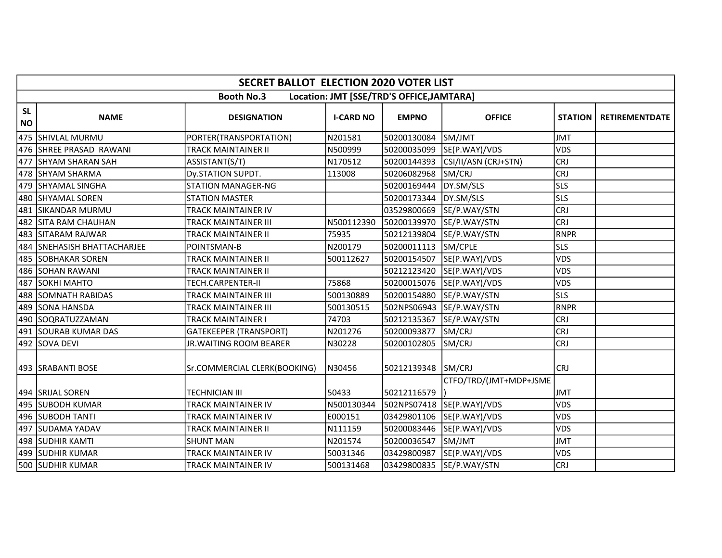|                        | <b>SECRET BALLOT ELECTION 2020 VOTER LIST</b> |                               |                  |                                           |                            |                |                       |  |  |
|------------------------|-----------------------------------------------|-------------------------------|------------------|-------------------------------------------|----------------------------|----------------|-----------------------|--|--|
|                        |                                               | <b>Booth No.3</b>             |                  | Location: JMT [SSE/TRD'S OFFICE, JAMTARA] |                            |                |                       |  |  |
| <b>SL</b><br><b>NO</b> | <b>NAME</b>                                   | <b>DESIGNATION</b>            | <b>I-CARD NO</b> | <b>EMPNO</b>                              | <b>OFFICE</b>              | <b>STATION</b> | <b>RETIREMENTDATE</b> |  |  |
|                        | 475 SHIVLAL MURMU                             | PORTER(TRANSPORTATION)        | N201581          | 50200130084                               | SM/JMT                     | <b>JMT</b>     |                       |  |  |
|                        | 476 SHREE PRASAD RAWANI                       | <b>TRACK MAINTAINER II</b>    | N500999          | 50200035099                               | SE(P.WAY)/VDS              | <b>VDS</b>     |                       |  |  |
|                        | 477 SHYAM SHARAN SAH                          | ASSISTANT(S/T)                | N170512          | 50200144393                               | CSI/II/ASN (CRJ+STN)       | <b>CRJ</b>     |                       |  |  |
|                        | 478 SHYAM SHARMA                              | Dy.STATION SUPDT.             | 113008           | 50206082968                               | SM/CRJ                     | <b>CRJ</b>     |                       |  |  |
|                        | 479 SHYAMAL SINGHA                            | <b>STATION MANAGER-NG</b>     |                  | 50200169444                               | DY.SM/SLS                  | <b>SLS</b>     |                       |  |  |
|                        | 480 SHYAMAL SOREN                             | <b>STATION MASTER</b>         |                  | 50200173344                               | DY.SM/SLS                  | <b>SLS</b>     |                       |  |  |
|                        | 481 SIKANDAR MURMU                            | TRACK MAINTAINER IV           |                  | 03529800669                               | SE/P.WAY/STN               | <b>CRJ</b>     |                       |  |  |
| 482                    | <b>SITA RAM CHAUHAN</b>                       | <b>TRACK MAINTAINER III</b>   | N500112390       | 50200139970                               | SE/P.WAY/STN               | <b>CRJ</b>     |                       |  |  |
|                        | 483 SITARAM RAJWAR                            | TRACK MAINTAINER II           | 75935            | 50212139804                               | SE/P.WAY/STN               | <b>RNPR</b>    |                       |  |  |
|                        | 484 SNEHASISH BHATTACHARJEE                   | POINTSMAN-B                   | N200179          | 50200011113                               | SM/CPLE                    | <b>SLS</b>     |                       |  |  |
|                        | 485 SOBHAKAR SOREN                            | <b>TRACK MAINTAINER II</b>    | 500112627        | 50200154507                               | SE(P.WAY)/VDS              | <b>VDS</b>     |                       |  |  |
|                        | 486 SOHAN RAWANI                              | TRACK MAINTAINER II           |                  | 50212123420                               | SE(P.WAY)/VDS              | VDS            |                       |  |  |
| 487                    | <b>SOKHI MAHTO</b>                            | TECH.CARPENTER-II             | 75868            |                                           | 50200015076 SE(P.WAY)/VDS  | <b>VDS</b>     |                       |  |  |
|                        | 488 SOMNATH RABIDAS                           | TRACK MAINTAINER III          | 500130889        | 50200154880                               | SE/P.WAY/STN               | <b>SLS</b>     |                       |  |  |
| 489                    | <b>SONA HANSDA</b>                            | TRACK MAINTAINER III          | 500130515        |                                           | 502NPS06943  SE/P.WAY/STN  | <b>RNPR</b>    |                       |  |  |
|                        | 490 SOQRATUZZAMAN                             | TRACK MAINTAINER I            | 74703            | 50212135367                               | SE/P.WAY/STN               | <b>CRJ</b>     |                       |  |  |
|                        | 491 SOURAB KUMAR DAS                          | <b>GATEKEEPER (TRANSPORT)</b> | N201276          | 50200093877                               | SM/CRJ                     | <b>CRJ</b>     |                       |  |  |
|                        | 492 SOVA DEVI                                 | JR. WAITING ROOM BEARER       | N30228           | 50200102805                               | SM/CRJ                     | <b>CRJ</b>     |                       |  |  |
|                        | 493   SRABANTI BOSE                           | Sr.COMMERCIAL CLERK(BOOKING)  | N30456           | 50212139348 SM/CRJ                        | CTFO/TRD/(JMT+MDP+JSME     | <b>CRJ</b>     |                       |  |  |
|                        | 494 SRIJAL SOREN                              | <b>TECHNICIAN III</b>         | 50433            | 50212116579                               |                            | <b>JMT</b>     |                       |  |  |
|                        | 1495 ISUBODH KUMAR                            | TRACK MAINTAINER IV           | N500130344       |                                           | 502NPS07418  SE(P.WAY)/VDS | <b>VDS</b>     |                       |  |  |
|                        | 496 SUBODH TANTI                              | TRACK MAINTAINER IV           | E000151          | 03429801106                               | SE(P.WAY)/VDS              | <b>VDS</b>     |                       |  |  |
|                        | 497 SUDAMA YADAV                              | TRACK MAINTAINER II           | N111159          | 50200083446                               | SE(P.WAY)/VDS              | <b>VDS</b>     |                       |  |  |
|                        | 498 SUDHIR KAMTI                              | <b>SHUNT MAN</b>              | N201574          | 50200036547                               | SM/JMT                     | <b>JMT</b>     |                       |  |  |
|                        | 499  SUDHIR KUMAR                             | TRACK MAINTAINER IV           | 50031346         | 03429800987                               | SE(P.WAY)/VDS              | <b>VDS</b>     |                       |  |  |
|                        | 500 SUDHIR KUMAR                              | <b>TRACK MAINTAINER IV</b>    | 500131468        | 03429800835                               | SE/P.WAY/STN               | <b>CRJ</b>     |                       |  |  |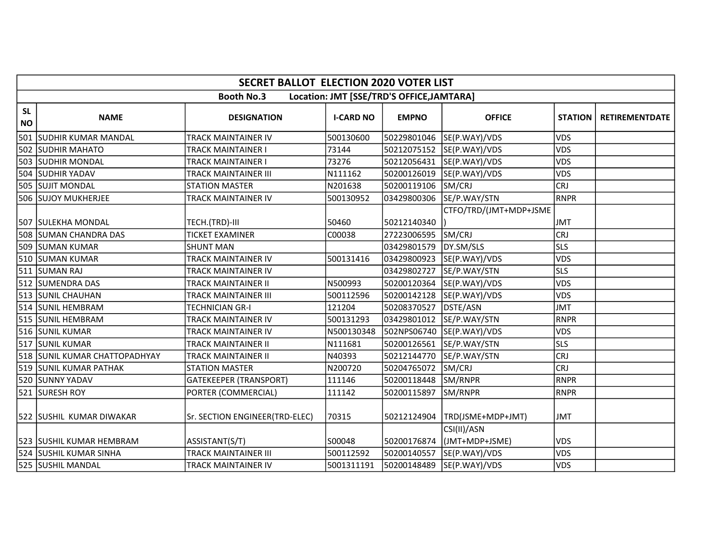|                        | <b>SECRET BALLOT ELECTION 2020 VOTER LIST</b> |                                |                  |                                           |                               |                |                       |  |  |
|------------------------|-----------------------------------------------|--------------------------------|------------------|-------------------------------------------|-------------------------------|----------------|-----------------------|--|--|
|                        |                                               | <b>Booth No.3</b>              |                  | Location: JMT [SSE/TRD'S OFFICE, JAMTARA] |                               |                |                       |  |  |
| <b>SL</b><br><b>NO</b> | <b>NAME</b>                                   | <b>DESIGNATION</b>             | <b>I-CARD NO</b> | <b>EMPNO</b>                              | <b>OFFICE</b>                 | <b>STATION</b> | <b>RETIREMENTDATE</b> |  |  |
| 501                    | <b>SUDHIR KUMAR MANDAL</b>                    | TRACK MAINTAINER IV            | 500130600        | 50229801046                               | SE(P.WAY)/VDS                 | <b>VDS</b>     |                       |  |  |
|                        | 502 SUDHIR MAHATO                             | <b>TRACK MAINTAINER I</b>      | 73144            | 50212075152                               | SE(P.WAY)/VDS                 | <b>VDS</b>     |                       |  |  |
|                        | 503 SUDHIR MONDAL                             | <b>TRACK MAINTAINER I</b>      | 73276            | 50212056431                               | SE(P.WAY)/VDS                 | <b>VDS</b>     |                       |  |  |
|                        | 504 SUDHIR YADAV                              | <b>TRACK MAINTAINER III</b>    | N111162          |                                           | 50200126019 SE(P.WAY)/VDS     | <b>VDS</b>     |                       |  |  |
|                        | <b>505 ISUJIT MONDAL</b>                      | <b>STATION MASTER</b>          | N201638          | 50200119106                               | SM/CRJ                        | <b>CRJ</b>     |                       |  |  |
|                        | 506 SUJOY MUKHERJEE                           | <b>TRACK MAINTAINER IV</b>     | 500130952        | 03429800306                               | SE/P.WAY/STN                  | RNPR           |                       |  |  |
|                        | 507 SULEKHA MONDAL                            | TECH.(TRD)-III                 | 50460            | 50212140340                               | CTFO/TRD/(JMT+MDP+JSME        | <b>JMT</b>     |                       |  |  |
|                        | 508 SUMAN CHANDRA DAS                         | <b>TICKET EXAMINER</b>         | C00038           | 27223006595                               | SM/CRJ                        | <b>CRJ</b>     |                       |  |  |
|                        | 509 SUMAN KUMAR                               | <b>SHUNT MAN</b>               |                  | 03429801579                               | DY.SM/SLS                     | <b>SLS</b>     |                       |  |  |
|                        | 510 SUMAN KUMAR                               | TRACK MAINTAINER IV            | 500131416        | 03429800923                               | SE(P.WAY)/VDS                 | <b>VDS</b>     |                       |  |  |
|                        | 511 SUMAN RAJ                                 | TRACK MAINTAINER IV            |                  | 03429802727                               | SE/P.WAY/STN                  | <b>SLS</b>     |                       |  |  |
|                        | 512 SUMENDRA DAS                              | <b>TRACK MAINTAINER II</b>     | N500993          | 50200120364                               | SE(P.WAY)/VDS                 | <b>VDS</b>     |                       |  |  |
|                        | 513 SUNIL CHAUHAN                             | <b>TRACK MAINTAINER III</b>    | 500112596        | 50200142128                               | SE(P.WAY)/VDS                 | <b>VDS</b>     |                       |  |  |
|                        | 514 SUNIL HEMBRAM                             | <b>TECHNICIAN GR-I</b>         | 121204           | 50208370527                               | DSTE/ASN                      | <b>JMT</b>     |                       |  |  |
|                        | 515 SUNIL HEMBRAM                             | <b>TRACK MAINTAINER IV</b>     | 500131293        | 03429801012                               | SE/P.WAY/STN                  | RNPR           |                       |  |  |
|                        | 516 SUNIL KUMAR                               | <b>TRACK MAINTAINER IV</b>     | N500130348       | 502NPS06740                               | SE(P.WAY)/VDS                 | <b>VDS</b>     |                       |  |  |
|                        | 517 SUNIL KUMAR                               | <b>TRACK MAINTAINER II</b>     | N111681          | 50200126561                               | SE/P.WAY/STN                  | <b>SLS</b>     |                       |  |  |
|                        | 518 SUNIL KUMAR CHATTOPADHYAY                 | <b>TRACK MAINTAINER II</b>     | N40393           | 50212144770                               | SE/P.WAY/STN                  | <b>CRJ</b>     |                       |  |  |
|                        | 519 SUNIL KUMAR PATHAK                        | <b>STATION MASTER</b>          | N200720          | 50204765072                               | SM/CRJ                        | <b>CRJ</b>     |                       |  |  |
|                        | 520 SUNNY YADAV                               | <b>GATEKEEPER (TRANSPORT)</b>  | 111146           | 50200118448                               | SM/RNPR                       | RNPR           |                       |  |  |
|                        | 521 SURESH ROY                                | PORTER (COMMERCIAL)            | 111142           | 50200115897                               | SM/RNPR                       | RNPR           |                       |  |  |
|                        | 522 SUSHIL KUMAR DIWAKAR                      | Sr. SECTION ENGINEER(TRD-ELEC) | 70315            | 50212124904                               | TRD(JSME+MDP+JMT)             | <b>JMT</b>     |                       |  |  |
|                        | 523 SUSHIL KUMAR HEMBRAM                      | ASSISTANT(S/T)                 | S00048           | 50200176874                               | CSI(II)/ASN<br>(JMT+MDP+JSME) | <b>VDS</b>     |                       |  |  |
|                        | 524 SUSHIL KUMAR SINHA                        | <b>TRACK MAINTAINER III</b>    | 500112592        | 50200140557                               | SE(P.WAY)/VDS                 | <b>VDS</b>     |                       |  |  |
|                        | 525 SUSHIL MANDAL                             | <b>TRACK MAINTAINER IV</b>     | 5001311191       | 50200148489                               | SE(P.WAY)/VDS                 | <b>VDS</b>     |                       |  |  |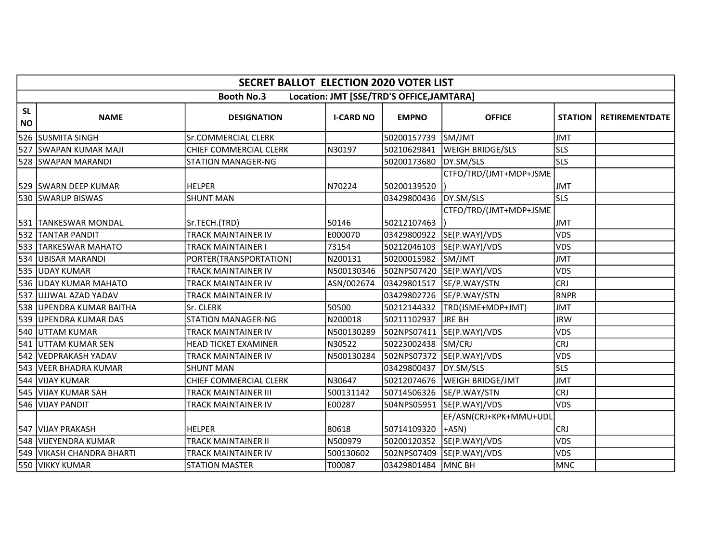|                        | <b>SECRET BALLOT ELECTION 2020 VOTER LIST</b> |                             |                  |                                           |                                  |                |                       |  |  |
|------------------------|-----------------------------------------------|-----------------------------|------------------|-------------------------------------------|----------------------------------|----------------|-----------------------|--|--|
|                        |                                               | <b>Booth No.3</b>           |                  | Location: JMT [SSE/TRD'S OFFICE, JAMTARA] |                                  |                |                       |  |  |
| <b>SL</b><br><b>NO</b> | <b>NAME</b>                                   | <b>DESIGNATION</b>          | <b>I-CARD NO</b> | <b>EMPNO</b>                              | <b>OFFICE</b>                    | <b>STATION</b> | <b>RETIREMENTDATE</b> |  |  |
| 526                    | <b>SUSMITA SINGH</b>                          | Sr.COMMERCIAL CLERK         |                  | 50200157739                               | SM/JMT                           | <b>JMT</b>     |                       |  |  |
| 527                    | <b>SWAPAN KUMAR MAJI</b>                      | CHIEF COMMERCIAL CLERK      | N30197           | 50210629841                               | <b>WEIGH BRIDGE/SLS</b>          | <b>SLS</b>     |                       |  |  |
|                        | 528 SWAPAN MARANDI                            | <b>STATION MANAGER-NG</b>   |                  | 50200173680                               | DY.SM/SLS                        | <b>SLS</b>     |                       |  |  |
|                        | 529 SWARN DEEP KUMAR                          | <b>HELPER</b>               | N70224           | 50200139520                               | CTFO/TRD/(JMT+MDP+JSME           | <b>JMT</b>     |                       |  |  |
|                        | 530 SWARUP BISWAS                             | <b>SHUNT MAN</b>            |                  | 03429800436                               | DY.SM/SLS                        | <b>SLS</b>     |                       |  |  |
|                        | 531  TANKESWAR MONDAL                         | Sr.TECH.(TRD)               | 50146            | 50212107463                               | CTFO/TRD/(JMT+MDP+JSME           | <b>JMT</b>     |                       |  |  |
|                        | 532 TANTAR PANDIT                             | <b>TRACK MAINTAINER IV</b>  | E000070          | 03429800922                               | SE(P.WAY)/VDS                    | <b>VDS</b>     |                       |  |  |
|                        | 533 TARKESWAR MAHATO                          | <b>TRACK MAINTAINER I</b>   | 73154            | 50212046103                               | SE(P.WAY)/VDS                    | <b>VDS</b>     |                       |  |  |
|                        | 534 UBISAR MARANDI                            | PORTER(TRANSPORTATION)      | N200131          | 50200015982                               | SM/JMT                           | <b>JMT</b>     |                       |  |  |
|                        | 535 UDAY KUMAR                                | TRACK MAINTAINER IV         | N500130346       |                                           | 502NPS07420 SE(P.WAY)/VDS        | <b>VDS</b>     |                       |  |  |
| 536                    | <b>UDAY KUMAR MAHATO</b>                      | TRACK MAINTAINER IV         | ASN/002674       | 03429801517                               | SE/P.WAY/STN                     | <b>CRJ</b>     |                       |  |  |
| 537                    | UJJWAL AZAD YADAV                             | TRACK MAINTAINER IV         |                  | 03429802726                               | SE/P.WAY/STN                     | <b>RNPR</b>    |                       |  |  |
| 538                    | UPENDRA KUMAR BAITHA                          | Sr. CLERK                   | 50500            | 50212144332                               | TRD(JSME+MDP+JMT)                | <b>JMT</b>     |                       |  |  |
| 539                    | <b>UPENDRA KUMAR DAS</b>                      | <b>STATION MANAGER-NG</b>   | N200018          | 50211102937                               | <b>JRE BH</b>                    | <b>JRW</b>     |                       |  |  |
| 540                    | UTTAM KUMAR                                   | <b>TRACK MAINTAINER IV</b>  | N500130289       | 502NPS07411                               | SE(P.WAY)/VDS                    | VDS            |                       |  |  |
|                        | 541 UTTAM KUMAR SEN                           | <b>HEAD TICKET EXAMINER</b> | N30522           | 50223002438                               | SM/CRJ                           | <b>CRJ</b>     |                       |  |  |
|                        | 542 VEDPRAKASH YADAV                          | TRACK MAINTAINER IV         | N500130284       | 502NPS07372                               | SE(P.WAY)/VDS                    | <b>VDS</b>     |                       |  |  |
| 543                    | <b>IVEER BHADRA KUMAR</b>                     | <b>SHUNT MAN</b>            |                  | 03429800437                               | DY.SM/SLS                        | <b>SLS</b>     |                       |  |  |
|                        | 544 VIJAY KUMAR                               | CHIEF COMMERCIAL CLERK      | N30647           | 50212074676                               | <b>WEIGH BRIDGE/JMT</b>          | <b>JMT</b>     |                       |  |  |
|                        | 545 VIJAY KUMAR SAH                           | <b>TRACK MAINTAINER III</b> | 500131142        | 50714506326                               | SE/P.WAY/STN                     | <b>CRJ</b>     |                       |  |  |
|                        | 546 VIJAY PANDIT                              | <b>TRACK MAINTAINER IV</b>  | E00287           | 504NPS05951                               | SE(P.WAY)/VDS                    | VDS            |                       |  |  |
|                        | 547 VIJAY PRAKASH                             | <b>HELPER</b>               | 80618            | 50714109320                               | EF/ASN(CRJ+KPK+MMU+UDL<br>$+ASN$ | <b>CRJ</b>     |                       |  |  |
|                        | 548 VIJEYENDRA KUMAR                          | <b>TRACK MAINTAINER II</b>  | N500979          | 50200120352                               | SE(P.WAY)/VDS                    | <b>VDS</b>     |                       |  |  |
|                        | 549 VIKASH CHANDRA BHARTI                     | TRACK MAINTAINER IV         | 500130602        | 502NPS07409                               | SE(P.WAY)/VDS                    | <b>VDS</b>     |                       |  |  |
|                        | 550 VIKKY KUMAR                               | <b>STATION MASTER</b>       | T00087           | 03429801484                               | MNC BH                           | <b>MNC</b>     |                       |  |  |